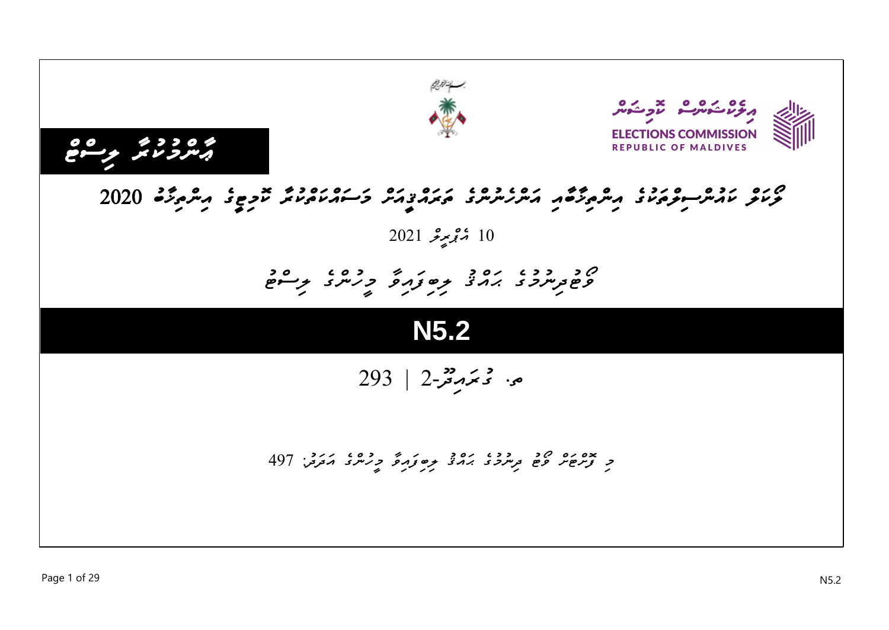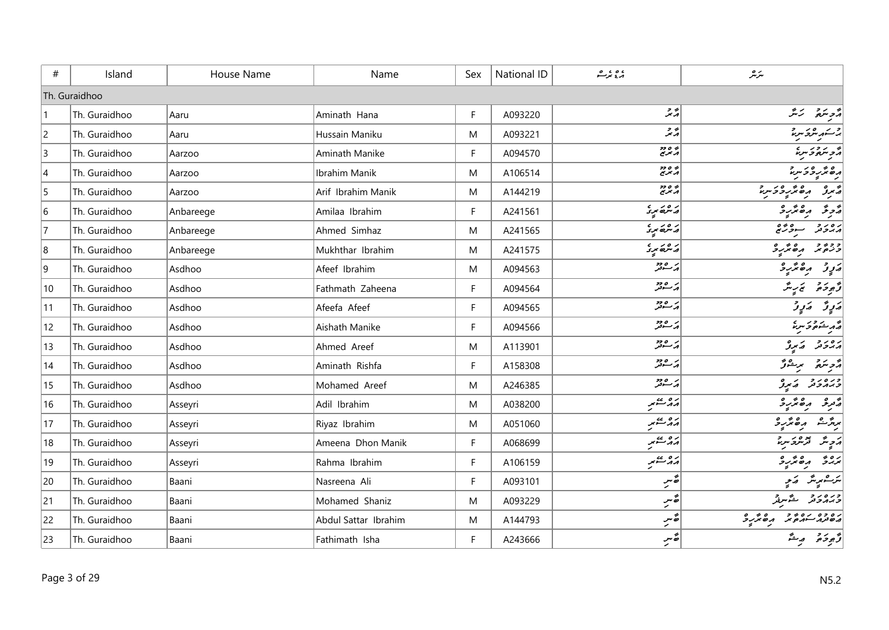| #              | Island        | House Name | Name                 | Sex       | National ID | ړه پر ه                     | ىئرىتر                                             |
|----------------|---------------|------------|----------------------|-----------|-------------|-----------------------------|----------------------------------------------------|
|                | Th. Guraidhoo |            |                      |           |             |                             |                                                    |
|                | Th. Guraidhoo | Aaru       | Aminath Hana         | F         | A093220     | لجرجر                       | أأروبتهم كتر                                       |
| 2              | Th. Guraidhoo | Aaru       | Hussain Maniku       | M         | A093221     | لمجمعه                      | جر سکھ ملکھ ملکھ مر                                |
| $\mathsf{3}$   | Th. Guraidhoo | Aarzoo     | Aminath Manike       | F         | A094570     | پر ہ دو<br>جر سریح          | و<br>مرکز سره د سرما                               |
| 4              | Th. Guraidhoo | Aarzoo     | Ibrahim Manik        | M         | A106514     | پر ہ دو<br>در سری           | ە ھەترىر 3 كەسرىر<br>م                             |
| 5              | Th. Guraidhoo | Aarzoo     | Arif Ibrahim Manik   | M         | A144219     | پر ہ دو<br>جر سر س          | رە ئەردىكەر<br>رە ئەردىكەر<br>ومجروح               |
| $\,$ 6 $\,$    | Th. Guraidhoo | Anbareege  | Amilaa Ibrahim       | F         | A241561     | ر ه د پرې<br>مره نړۍ        | أره تربر<br>وزوتر                                  |
| $\overline{7}$ | Th. Guraidhoo | Anbareege  | Ahmed Simhaz         | ${\sf M}$ | A241565     | ر ۵ سره بر د<br>پر سره بر د | ر 2 ر 1<br>م.رو تر<br>سەۋرىي                       |
| 8              | Th. Guraidhoo | Anbareege  | Mukhthar Ibrahim     | ${\sf M}$ | A241575     | ر ه ر پر ؟<br>پر سرچ سر ؟   | برە ئۈرۈ<br>د د د و<br>د زهر مر                    |
| 9              | Th. Guraidhoo | Asdhoo     | Afeef Ibrahim        | M         | A094563     | بر ۱۵ دو<br>هر سوتور        | أړَ پِر د هغه ده                                   |
| $ 10\rangle$   | Th. Guraidhoo | Asdhoo     | Fathmath Zaheena     | F         | A094564     | پر ھۆر                      | قەم ئەر ئەر                                        |
| 11             | Th. Guraidhoo | Asdhoo     | Afeefa Afeef         | F         | A094565     | ېر ۱۶۹۵                     | أمار والملمح والمحمد والمحمد                       |
| 12             | Th. Guraidhoo | Asdhoo     | Aishath Manike       | F         | A094566     | پر صود                      | و د شوځ تر پا                                      |
| 13             | Th. Guraidhoo | Asdhoo     | Ahmed Areef          | ${\sf M}$ | A113901     | ر ص دو<br>هر سسوتور         | رەر <del>د</del><br>مەردىر مەر                     |
| 14             | Th. Guraidhoo | Asdhoo     | Aminath Rishfa       | F         | A158308     | پر صود                      | أأزجر سيرت وتحركز                                  |
| 15             | Th. Guraidhoo | Asdhoo     | Mohamed Areef        | ${\sf M}$ | A246385     | بر ۱۵ دو<br>هر سوتور        | ورەرو كەيدۇ                                        |
| 16             | Th. Guraidhoo | Asseyri    | Adil Ibrahim         | M         | A038200     | لمرهر يھوسر                 | ړ ده پر ده کرد                                     |
| 17             | Th. Guraidhoo | Asseyri    | Riyaz Ibrahim        | M         | A051060     | اړه مسمير                   | ىروگرىشە<br>رە ئەرد                                |
| 18             | Th. Guraidhoo | Asseyri    | Ameena Dhon Manik    | F         | A068699     | لرەپىر                      | أرَجٍ مَّرٌ فَرَسْرَةٌ مِنْ                        |
| 19             | Th. Guraidhoo | Asseyri    | Rahma Ibrahim        | F         | A106159     | ره <sup>ی</sup> مر          | پره پچ<br>برە ئۆرۈ                                 |
| 20             | Th. Guraidhoo | Baani      | Nasreena Ali         | F         | A093101     | ة<br>ماس                    | لىرىشمېرىش كەيپ                                    |
| 21             | Th. Guraidhoo | Baani      | Mohamed Shaniz       | M         | A093229     | ة<br>ماس                    | و ره ر و<br>تر پر ژ تر<br>ڪ سرنگر                  |
| 22             | Th. Guraidhoo | Baani      | Abdul Sattar Ibrahim | M         | A144793     | ة مبر<br>ح                  | برە ئۆرۈ<br>גם כם גם ביכ<br>גם <i>ב</i> נג — יוביב |
| 23             | Th. Guraidhoo | Baani      | Fathimath Isha       | F         | A243666     | ة<br>ماسر                   | وٌجوحَ مِثَّمَّ                                    |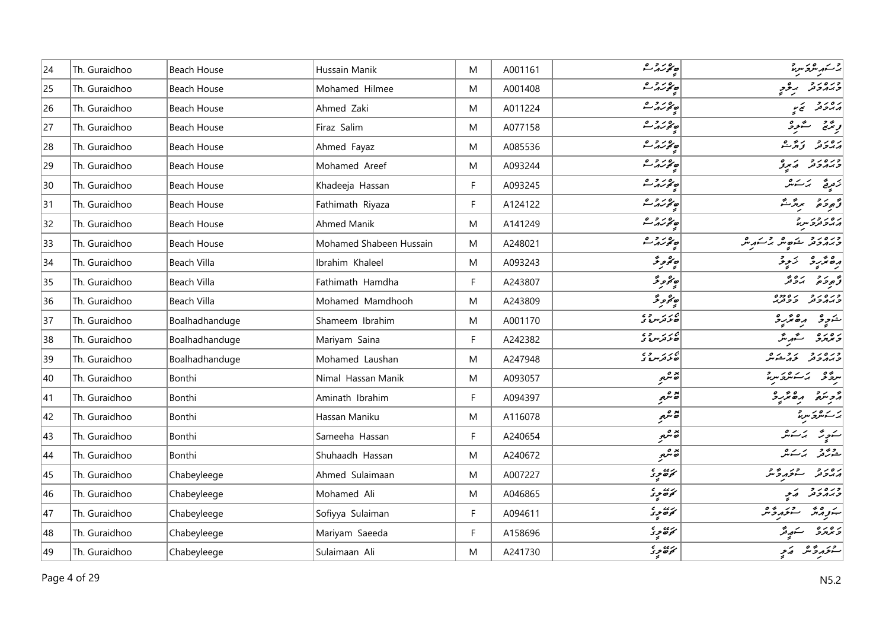| 24 | Th. Guraidhoo | <b>Beach House</b> | Hussain Manik           | M  | A001161 | پەنزىر مە                               | ر<br>پر سکه مرکز شرید<br>م             |
|----|---------------|--------------------|-------------------------|----|---------|-----------------------------------------|----------------------------------------|
| 25 | Th. Guraidhoo | <b>Beach House</b> | Mohamed Hilmee          | M  | A001408 | پە ئەرمىسى                              |                                        |
| 26 | Th. Guraidhoo | <b>Beach House</b> | Ahmed Zaki              | M  | A011224 | پەنزىر مە                               | 55201                                  |
| 27 | Th. Guraidhoo | <b>Beach House</b> | Firaz Salim             | M  | A077158 | $\sqrt{27.89}$                          | أرِيْرُجْ سُنَّمُودُ                   |
| 28 | Th. Guraidhoo | <b>Beach House</b> | Ahmed Fayaz             | M  | A085536 | $\frac{1}{2}$                           | أرەر دىر دىر                           |
| 29 | Th. Guraidhoo | <b>Beach House</b> | Mohamed Areef           | M  | A093244 | $\sqrt{27.80}$                          | ورەر دىرو                              |
| 30 | Th. Guraidhoo | <b>Beach House</b> | Khadeeja Hassan         | F  | A093245 | ھەممەر ج                                | زَمِرِيحَ   بَرَسَرْسُ                 |
| 31 | Th. Guraidhoo | <b>Beach House</b> | Fathimath Riyaza        | F  | A124122 | پەنزىر مە                               | قەم ئەرگە                              |
| 32 | Th. Guraidhoo | <b>Beach House</b> | <b>Ahmed Manik</b>      | M  | A141249 | پەنزىر مىسىر                            | ر و بر و به بر د<br>م. د د ترد سربا    |
| 33 | Th. Guraidhoo | <b>Beach House</b> | Mohamed Shabeen Hussain | M  | A248021 | پەيز بر م                               | ورەرو خەھ بى ئەسكىر بىر                |
| 34 | Th. Guraidhoo | <b>Beach Villa</b> | Ibrahim Khaleel         | M  | A093243 | جەمھرىقە                                | رەپرىدى ئېچى                           |
| 35 | Th. Guraidhoo | Beach Villa        | Fathimath Hamdha        | F  | A243807 | ە ئ <sup>ۇ</sup> بوڭر                   | و ده سره و                             |
| 36 | Th. Guraidhoo | Beach Villa        | Mohamed Mamdhooh        | M  | A243809 | جەمحومۇ                                 | ورەر د رەپىرە<br><i>ج</i> ىمەدىر كەربى |
| 37 | Th. Guraidhoo | Boalhadhanduge     | Shameem Ibrahim         | M  | A001170 | 0 پر پر د ء<br><mark>ن</mark> ئوتىرىس ئ | شَوِدْ رەمْرىد                         |
| 38 | Th. Guraidhoo | Boalhadhanduge     | Mariyam Saina           | F  | A242382 | ہ ر ر ر و ،<br>ن توتوس و                | زەرە شەر                               |
| 39 | Th. Guraidhoo | Boalhadhanduge     | Mohamed Laushan         | M  | A247948 | ج پر پر و م<br>  ت گوترسره ک            | ورەرو رومۇش                            |
| 40 | Th. Guraidhoo | Bonthi             | Nimal Hassan Manik      | M  | A093057 | قاسرهج                                  | سردمح كالكاشرة سرة                     |
| 41 | Th. Guraidhoo | Bonthi             | Aminath Ibrahim         | F  | A094397 | قامبر                                   | ومحافقهم والمتحرمة                     |
| 42 | Th. Guraidhoo | Bonthi             | Hassan Maniku           | M  | A116078 | قة شهج                                  | ئەسەھەمەر ج                            |
| 43 | Th. Guraidhoo | Bonthi             | Sameeha Hassan          | F  | A240654 | قة شهج                                  | سكورج الإسكانل                         |
| 44 | Th. Guraidhoo | Bonthi             | Shuhaadh Hassan         | M  | A240672 | قاشعر                                   | ے پڑھ پر سکاھل                         |
| 45 | Th. Guraidhoo | Chabeyleege        | Ahmed Sulaimaan         | M  | A007227 | ريء<br>کوھنچ د                          | رەرە ئۇرۇش                             |
| 46 | Th. Guraidhoo | Chabeyleege        | Mohamed Ali             | M  | A046865 | ريء<br>کوھنچ د                          | ورەرو كې                               |
| 47 | Th. Guraidhoo | Chabeyleege        | Sofiyya Sulaiman        | F  | A094611 | ري ء<br>کوھ پ <sub>ر</sub> د            |                                        |
| 48 | Th. Guraidhoo | Chabeyleege        | Mariyam Saeeda          | F. | A158696 | رين<br>کوه پور                          | دەرە سەر                               |
| 49 | Th. Guraidhoo | Chabeyleege        | Sulaimaan Ali           | M  | A241730 | ري د ه<br>کوه پور                       | لتخدر والمستحير المتعج                 |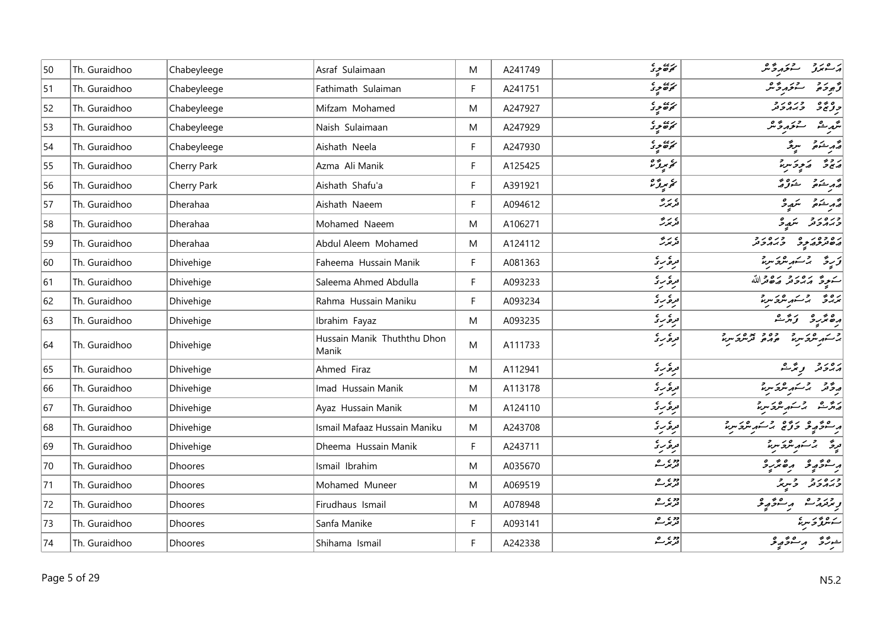| 50 | Th. Guraidhoo | Chabeyleege    | Asraf Sulaimaan                      | ${\sf M}$ | A241749 | ىرى پەر<br>كىرقام <sub>ۇ</sub> ر                 | رەرد ئورۇم                             |
|----|---------------|----------------|--------------------------------------|-----------|---------|--------------------------------------------------|----------------------------------------|
| 51 | Th. Guraidhoo | Chabeyleege    | Fathimath Sulaiman                   | F         | A241751 | ري ء<br>کوھ <del>پ</del> ر ي                     | و گهج څر د                             |
| 52 | Th. Guraidhoo | Chabeyleege    | Mifzam Mohamed                       | ${\sf M}$ | A247927 | ري د<br>کوه پور                                  | جوڻڻ چ<br>و ره ر و<br><i>و پر</i> و تر |
| 53 | Th. Guraidhoo | Chabeyleege    | Naish Sulaimaan                      | M         | A247929 | ىر ئەسى<br>كى <sub>ر</sub> تقى م <sub>ە</sub> رى | سەئۇر ئەش<br>متمريحه                   |
| 54 | Th. Guraidhoo | Chabeyleege    | Aishath Neela                        | F         | A247930 | رين<br>کوه پور                                   | سربڅر<br>ۇ مەشقى<br>ھ                  |
| 55 | Th. Guraidhoo | Cherry Park    | Azma Ali Manik                       | F         | A125425 | ى<br>كىم مېرىۋىر                                 |                                        |
| 56 | Th. Guraidhoo | Cherry Park    | Aishath Shafu'a                      | F         | A391921 | ى<br>كۆمپرۇ ئا                                   | شتۇر<br>و.<br>د کم شوی                 |
| 57 | Th. Guraidhoo | Dherahaa       | Aishath Naeem                        | F         | A094612 | ی ر بر<br>توبرگ                                  | مەرشىق سەرق                            |
| 58 | Th. Guraidhoo | Dherahaa       | Mohamed Naeem                        | M         | A106271 | ی ر بر<br>فریزر                                  | ورەرو شهرو                             |
| 59 | Th. Guraidhoo | Dherahaa       | Abdul Aleem Mohamed                  | M         | A124112 | › ر ر<br>ترىزر                                   | גם כסגם כגם בדי                        |
| 60 | Th. Guraidhoo | Dhivehige      | Faheema Hussain Manik                | F         | A081363 | ورځ رنځ<br>مر                                    | ۇرۇ ئاسىر ھەسر                         |
| 61 | Th. Guraidhoo | Dhivehige      | Saleema Ahmed Abdulla                | F         | A093233 | و ء<br>توره مرد                                  | سوق مددو ره والله                      |
| 62 | Th. Guraidhoo | Dhivehige      | Rahma Hussain Maniku                 | F         | A093234 | وره<br>مره رئ                                    |                                        |
| 63 | Th. Guraidhoo | Dhivehige      | Ibrahim Fayaz                        | ${\sf M}$ | A093235 | ورځ رئ<br>مرغ ر                                  | وە ئەرە بەلەت                          |
| 64 | Th. Guraidhoo | Dhivehige      | Hussain Manik Thuththu Dhon<br>Manik | ${\sf M}$ | A111733 | ورځ رئ<br>مرغ رئ                                 | و کرمرگر ده ده د برمرگرمره             |
| 65 | Th. Guraidhoo | Dhivehige      | Ahmed Firaz                          | M         | A112941 | ىرغەرى<br>مەم                                    | أرەر دېر دېم                           |
| 66 | Th. Guraidhoo | Dhivehige      | Imad Hussain Manik                   | ${\sf M}$ | A113178 | و ء<br>مرغر رئ                                   | ورؤقه برسكور مركز الراد                |
| 67 | Th. Guraidhoo | Dhivehige      | Ayaz Hussain Manik                   | ${\sf M}$ | A124110 | ورځ رئ<br>مرغ رئ                                 |                                        |
| 68 | Th. Guraidhoo | Dhivehige      | Ismail Mafaaz Hussain Maniku         | ${\sf M}$ | A243708 | ورځ رئی<br>مرغ رئ                                | ر قرقر و دوه در مرد و در د             |
| 69 | Th. Guraidhoo | Dhivehige      | Dheema Hussain Manik                 | F         | A243711 | مرغ سر <sup>ي</sup><br>  مرغ سر                  | ىر ئەسكىر شۇ ئىرىد                     |
| 70 | Th. Guraidhoo | <b>Dhoores</b> | Ismail Ibrahim                       | ${\sf M}$ | A035670 | دد ،<br>تربر ک                                   | ر عۇرو رەئرىر                          |
| 71 | Th. Guraidhoo | <b>Dhoores</b> | Mohamed Muneer                       | ${\sf M}$ | A069519 | ود ۽ ه                                           |                                        |
| 72 | Th. Guraidhoo | <b>Dhoores</b> | Firudhaus Ismail                     | M         | A078948 | ود ۽ ه                                           | وبرورو بالشورو                         |
| 73 | Th. Guraidhoo | Dhoores        | Sanfa Manike                         | F         | A093141 | ود ۽ ه<br>تعريجه شک                              | ئەندى <sub>ر</sub> ئەرىئە              |
| 74 | Th. Guraidhoo | <b>Dhoores</b> | Shihama Ismail                       | F         | A242338 | ود پر ہے                                         | شەرق مەشرىم ئ                          |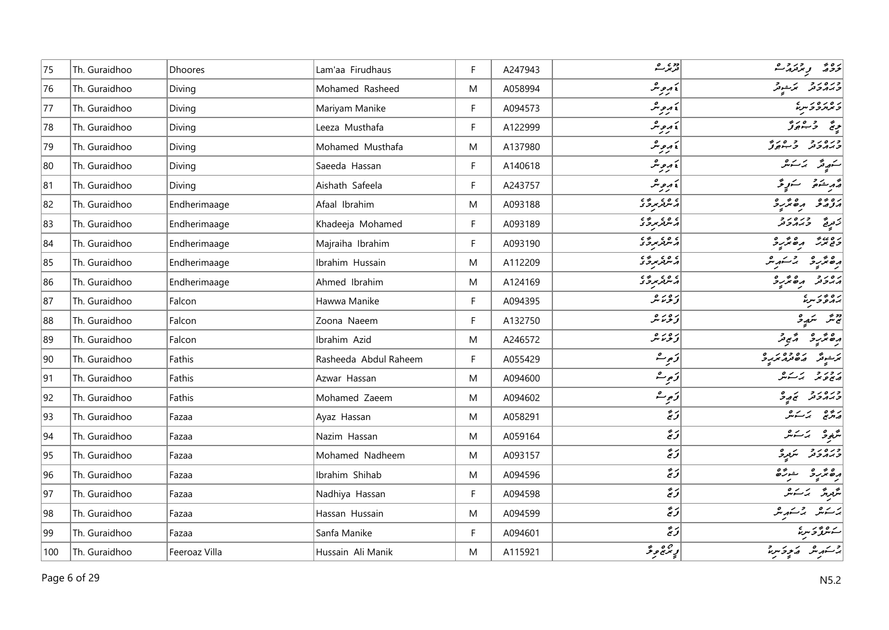| 75           | Th. Guraidhoo | Dhoores       | Lam'aa Firudhaus      | F           | A247943 | دو بر __<br>  تد بو سه           | وده ويرمده                                       |
|--------------|---------------|---------------|-----------------------|-------------|---------|----------------------------------|--------------------------------------------------|
| 76           | Th. Guraidhoo | Diving        | Mohamed Rasheed       | M           | A058994 | ئەمرە مىگە<br> -                 | ورورو بمشيع                                      |
| 77           | Th. Guraidhoo | Diving        | Mariyam Manike        | F           | A094573 | نۇمرە بىر<br>مۇرىر               | ן 2010 מיטורי<br>פינקו <i>ב</i> פייקול           |
| 78           | Th. Guraidhoo | Diving        | Leeza Musthafa        | F           | A122999 | ائەمرە بىر<br>كەنبە              | وپچ ويدوگر                                       |
| 79           | Th. Guraidhoo | Diving        | Mohamed Musthafa      | M           | A137980 | ائەمرەپىر<br><u>ئىس</u> سىسى     | ورەرو وەرە<br><i>جەم</i> ەدىر دىببوتى            |
| 80           | Th. Guraidhoo | Diving        | Saeeda Hassan         | $\mathsf F$ | A140618 | اءَ مرءِ مِّرَ<br>ڪسيا           | سەھەتىر برسىدىكى                                 |
| 81           | Th. Guraidhoo | Diving        | Aishath Safeela       | F           | A243757 | اءَ مرءِ مٿر<br>ڪشم              | أقهر مشكاة والتسكنج ومحر                         |
| 82           | Th. Guraidhoo | Endherimaage  | Afaal Ibrahim         | M           | A093188 | ، مروکر پر <sup>پر پ</sup>       | גם כם הפיתים ב                                   |
| 83           | Th. Guraidhoo | Endherimaage  | Khadeeja Mohamed      | $\mathsf F$ | A093189 | ى ھەترىرى <sup>تى</sup> ي        | و ره ر د<br>تر <i>پر</i> ونر<br>  ترْمَدِيحٌ     |
| 84           | Th. Guraidhoo | Endherimaage  | Majraiha Ibrahim      | $\mathsf F$ | A093190 | ې ه پر پر پر په په<br>م          | ر ە ،، »<br>5 ق عرر<br>برە ئۆرۈ                  |
| 85           | Th. Guraidhoo | Endherimaage  | Ibrahim Hussain       | M           | A112209 | ې ه پر پر پر په په<br>م          | برسەمەر<br>ەرھەترىر <sup>ى</sup>                 |
| 86           | Th. Guraidhoo | Endherimaage  | Ahmed Ibrahim         | M           | A124169 | ، هوپر پر پر پر<br>مربر پر پر پر | גפנה פיציב                                       |
| 87           | Th. Guraidhoo | Falcon        | Hawwa Manike          | F           | A094395 | ۇ ۋىر پىر                        | رە بەر بەر<br>بەھ بى سرىيا                       |
| 88           | Th. Guraidhoo | Falcon        | Zoona Naeem           | $\mathsf F$ | A132750 | ۇ ۋىز بىر                        | ة محمد سمي <sup>9</sup>                          |
| 89           | Th. Guraidhoo | Falcon        | Ibrahim Azid          | M           | A246572 | ر 2 ئەر<br>توپرىيە ش             | ה <i>סיקי</i> ב ה <sub>אב</sub>                  |
| $ 90\rangle$ | Th. Guraidhoo | Fathis        | Rasheeda Abdul Raheem | F           | A055429 | ئرموے                            | ر دور ده ده در ده کند.<br>مرشونگر ایره تربر تربر |
| 91           | Th. Guraidhoo | Fathis        | Azwar Hassan          | M           | A094600 | ئە<br>مۇس                        | رورو برسکس                                       |
| 92           | Th. Guraidhoo | Fathis        | Mohamed Zaeem         | M           | A094602 | ئە<br>مۇسىر                      | ورور و رو                                        |
| 93           | Th. Guraidhoo | Fazaa         | Ayaz Hassan           | M           | A058291 | ترتج                             | أريده برسكيش                                     |
| 94           | Th. Guraidhoo | Fazaa         | Nazim Hassan          | M           | A059164 | ترتج                             | لمتموق كاسكان                                    |
| 95           | Th. Guraidhoo | Fazaa         | Mohamed Nadheem       | M           | A093157 | ترتج                             | ورەر د سربرو                                     |
| 96           | Th. Guraidhoo | Fazaa         | Ibrahim Shihab        | M           | A094596 | ترتج                             | $rac{1}{2}$                                      |
| 97           | Th. Guraidhoo | Fazaa         | Nadhiya Hassan        | F           | A094598 | ترتج                             | لترفرنش الكاسكو                                  |
| 98           | Th. Guraidhoo | Fazaa         | Hassan Hussain        | ${\sf M}$   | A094599 | تریخ                             | يركبش يركبهاش                                    |
| 99           | Th. Guraidhoo | Fazaa         | Sanfa Manike          | F           | A094601 | ترتج                             | سە ئەرەپەر ئە                                    |
| 100          | Th. Guraidhoo | Feeroaz Villa | Hussain Ali Manik     | M           | A115921 | ر چې <sub>حو</sub> مځ            | بر مسكور الكر المتحدثة المريدة                   |
|              |               |               |                       |             |         |                                  |                                                  |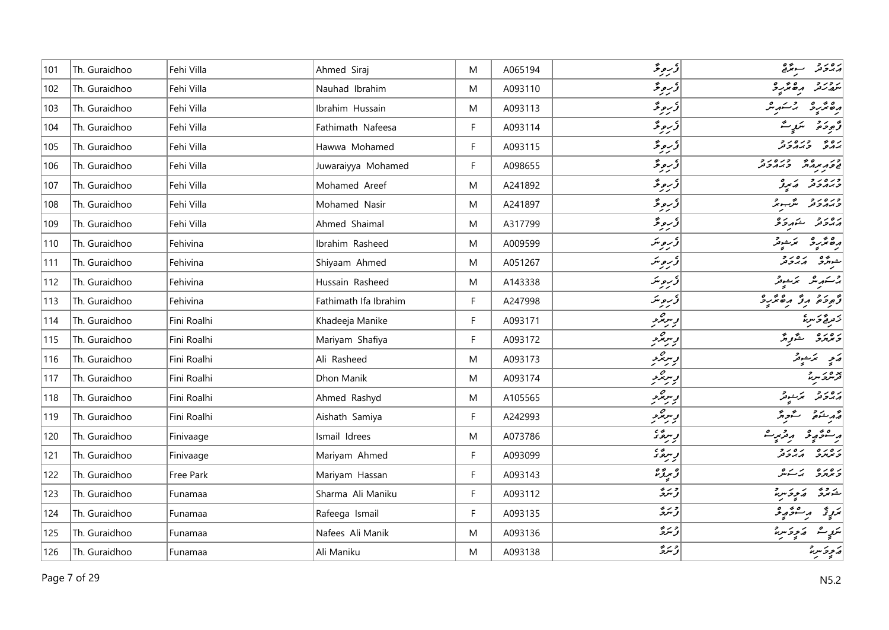| 101 | Th. Guraidhoo | Fehi Villa  | Ahmed Siraj           | M         | A065194 | ې ره د گ                    | سوچھ<br>سے<br>بروئرو                                  |
|-----|---------------|-------------|-----------------------|-----------|---------|-----------------------------|-------------------------------------------------------|
| 102 | Th. Guraidhoo | Fehi Villa  | Nauhad Ibrahim        | M         | A093110 | ۇر <sub>ەر</sub> ۇ          | وە ئۈرۈ<br>سرور و                                     |
| 103 | Th. Guraidhoo | Fehi Villa  | Ibrahim Hussain       | ${\sf M}$ | A093113 | ۇروگە                       | ە ھەتئەپە<br>بەھەتئەپە                                |
| 104 | Th. Guraidhoo | Fehi Villa  | Fathimath Nafeesa     | F         | A093114 | ۇروڭر                       | و بر د<br>تر <sub>جو</sub> ر م<br>سَعرٍ مُتَّ         |
| 105 | Th. Guraidhoo | Fehi Villa  | Hawwa Mohamed         | F         | A093115 | ۇر <sub>ەرگ</sub><br>كەبرىر | ر ه پ<br>برد و<br>و ر ه ر د<br>تر پر پر تر            |
| 106 | Th. Guraidhoo | Fehi Villa  | Juwaraiyya Mohamed    | F         | A098655 | ۇر <sub>ەر</sub> ۇ          | בנגינות בגםניב                                        |
| 107 | Th. Guraidhoo | Fehi Villa  | Mohamed Areef         | M         | A241892 | ۇرەڭ                        | דנסנד הינר                                            |
| 108 | Th. Guraidhoo | Fehi Villa  | Mohamed Nasir         | ${\sf M}$ | A241897 | ۇروڭر                       | ورەرو شبەتر                                           |
| 109 | Th. Guraidhoo | Fehi Villa  | Ahmed Shaimal         | ${\sf M}$ | A317799 | ۇروگە<br>مەم                | أرەر ئىمرىكى                                          |
| 110 | Th. Guraidhoo | Fehivina    | Ibrahim Rasheed       | M         | A009599 | ۇ <sub>سرحە</sub> بىز       | رەنزىر ترىنونر                                        |
| 111 | Th. Guraidhoo | Fehivina    | Shiyaam Ahmed         | M         | A051267 | ۇروپر                       | احوثرو<br>بر ہ بر د<br>م <i>ر</i> بر <del>د</del> تر  |
| 112 | Th. Guraidhoo | Fehivina    | Hussain Rasheed       | ${\sf M}$ | A143338 | ۇر <sub>چە مى</sub> ر       | ر<br>رکسکهر مگر استان میگردد.<br>مرکز استان           |
| 113 | Th. Guraidhoo | Fehivina    | Fathimath Ifa Ibrahim | F         | A247998 | ۇروپر                       | د دو دو مقبره                                         |
| 114 | Th. Guraidhoo | Fini Roalhi | Khadeeja Manike       | F         | A093171 | وسرچو                       | زَ مَرِيحٌ تَرَ سِرِيحٌ                               |
| 115 | Th. Guraidhoo | Fini Roalhi | Mariyam Shafiya       | F         | A093172 | وسرچمو                      | ے تو بڑ                                               |
| 116 | Th. Guraidhoo | Fini Roalhi | Ali Rasheed           | M         | A093173 | وسرچمو                      | ر<br>كەنچە كىرىش <sub>ۇ</sub> لگر                     |
| 117 | Th. Guraidhoo | Fini Roalhi | Dhon Manik            | M         | A093174 | وسرچمو                      | <br>  قریره تریم                                      |
| 118 | Th. Guraidhoo | Fini Roalhi | Ahmed Rashyd          | M         | A105565 | وسرچمو                      | ره رو بر <sub>شوند</sub><br>مهروند بر <sub>شوند</sub> |
| 119 | Th. Guraidhoo | Fini Roalhi | Aishath Samiya        | F         | A242993 | وسرچمو                      | سەّد بر<br>ر<br>دگرار شوځ                             |
| 120 | Th. Guraidhoo | Finivaage   | Ismail Idrees         | ${\sf M}$ | A073786 | و سرچ <sup>ء</sup> ِ        | ىر مەئىر تەرى <i>جى</i><br>ىرەترىيەت<br>س             |
| 121 | Th. Guraidhoo | Finivaage   | Mariyam Ahmed         | F         | A093099 | وسرة کا                     | ر ه ر ه<br><del>د</del> بربرگ<br>پرور و               |
| 122 | Th. Guraidhoo | Free Park   | Mariyam Hassan        | F         | A093143 | و برزه<br>په                | برسەمىر<br>ر ه ر ه<br><del>ر</del> بربرگ              |
| 123 | Th. Guraidhoo | Funamaa     | Sharma Ali Maniku     | F         | A093112 | و بر پر<br>تر سرچ           | ے تروُ<br>ړ په په ک                                   |
| 124 | Th. Guraidhoo | Funamaa     | Rafeega Ismail        | F         | A093135 | و بر پر<br>تر سرچ           | وستوفيو<br>بزوٍ تٌو                                   |
| 125 | Th. Guraidhoo | Funamaa     | Nafees Ali Manik      | M         | A093136 | و بر پر<br>تر سرچ           | ىئىدىم<br>ە ئەچە ئەسرىد                               |
| 126 | Th. Guraidhoo | Funamaa     | Ali Maniku            | ${\sf M}$ | A093138 | و بر پر<br>تر سرچ           | ە ئېچە ئەسرىتى<br>ئ                                   |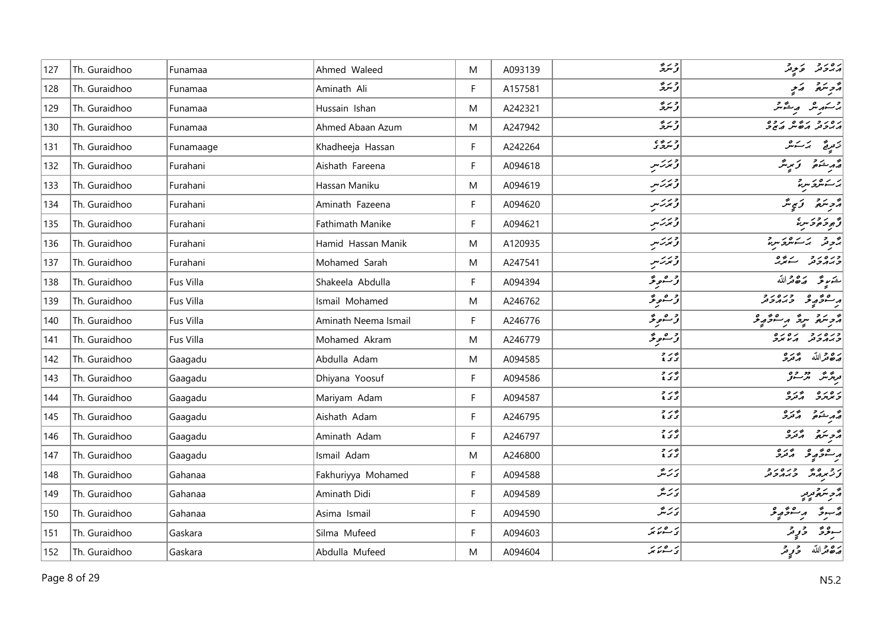| 127 | Th. Guraidhoo | Funamaa   | Ahmed Waleed            | M  | A093139 | و بر پر<br>تر سرچ                    | أرور و و و د                                     |
|-----|---------------|-----------|-------------------------|----|---------|--------------------------------------|--------------------------------------------------|
| 128 | Th. Guraidhoo | Funamaa   | Aminath Ali             | F. | A157581 | ۇ ئىرىچ                              |                                                  |
| 129 | Th. Guraidhoo | Funamaa   | Hussain Ishan           | M  | A242321 | د بر دی <sub>م</sub>                 | 2سىرىش مەھتىش                                    |
| 130 | Th. Guraidhoo | Funamaa   | Ahmed Abaan Azum        | M  | A247942 | ۇ ئىرىچ                              | 1010 נים נדס<br>גנבת גםית <i>ה</i> אב            |
| 131 | Th. Guraidhoo | Funamaage | Khadheeja Hassan        | F. | A242264 | و پر پر پر<br>توسر <del>ی</del> ر بر | زَمِرِجٌ - بَرَسَمبرُ                            |
| 132 | Th. Guraidhoo | Furahani  | Aishath Fareena         | F. | A094618 | اقر برسر<br>افر برسر                 | ە ئەستىمى ئەيرىتىگە                              |
| 133 | Th. Guraidhoo | Furahani  | Hassan Maniku           | Μ  | A094619 | و ئەر ئىبر                           | برسكونج ببرة                                     |
| 134 | Th. Guraidhoo | Furahani  | Aminath Fazeena         | F  | A094620 | <br> ترتدرسبر                        | أأدوسكم وتباشر                                   |
| 135 | Th. Guraidhoo | Furahani  | <b>Fathimath Manike</b> | F. | A094621 | إدبريبر                              | ۇ بەر دى <sub>رى</sub><br>ئ                      |
| 136 | Th. Guraidhoo | Furahani  | Hamid Hassan Manik      | M  | A120935 | إقرنبز سر                            | أيحوقر أبركت مركز مردح                           |
| 137 | Th. Guraidhoo | Furahani  | Mohamed Sarah           | M  | A247541 | قى تىرترىس                           | ورەر د سەرە                                      |
| 138 | Th. Guraidhoo | Fus Villa | Shakeela Abdulla        | F  | A094394 | ۇ شوپۇ                               | أخنوع خذه قرالله                                 |
| 139 | Th. Guraidhoo | Fus Villa | Ismail Mohamed          | M  | A246762 | ۇر ھەرگە                             | بر عرصي وره دو                                   |
| 140 | Th. Guraidhoo | Fus Villa | Aminath Neema Ismail    | F  | A246776 | ۇ ش <sub>ى</sub> رۇ                  | أدوسم سرائد وكالحمول                             |
| 141 | Th. Guraidhoo | Fus Villa | Mohamed Akram           | M  | A246779 | ۇ ش <sub>مو</sub> ۇ                  | כנסנכ נסנס<br>כגהכת העיב                         |
| 142 | Th. Guraidhoo | Gaagadu   | Abdulla Adam            | M  | A094585 | 2, 3                                 | ەھىراللە<br>ەرگەرى                               |
| 143 | Th. Guraidhoo | Gaagadu   | Dhiyana Yoosuf          | F. | A094586 | 2, 3                                 | دد حرو<br>  قروشگر                               |
| 144 | Th. Guraidhoo | Gaagadu   | Mariyam Adam            | F  | A094587 | ء ر و<br>تر ي                        | ر ه بر ه<br><del>د</del> بربرگ<br>ەردە           |
| 145 | Th. Guraidhoo | Gaagadu   | Aishath Adam            | F. | A246795 | ء ر و<br>تر ي                        | پور ہ<br>مرکزو<br>ا پژ <sub>امر</sub> شوېد<br>مر |
| 146 | Th. Guraidhoo | Gaagadu   | Aminath Adam            | F. | A246797 | ء ر د<br>تر ک                        | پور ہ<br>مرتزو<br>أرمر وسنرة                     |
| 147 | Th. Guraidhoo | Gaagadu   | Ismail Adam             | M  | A246800 | ء ر د<br>گ ک کا                      | ېر شر <i>ې په پېره</i>                           |
| 148 | Th. Guraidhoo | Gahanaa   | Fakhuriyya Mohamed      | F. | A094588 | ئەزىتر                               | الانتعاديم<br>و ره ر و<br>تر پر ژنر              |
| 149 | Th. Guraidhoo | Gahanaa   | Aminath Didi            | F  | A094589 | ىز ئەنگە                             | ۇ يەسكەن<br>مەسكەن ئەس                           |
| 150 | Th. Guraidhoo | Gahanaa   | Asima Ismail            | F. | A094590 | ىز ئەنگە                             | $rac{2}{2}$<br>برىشۇرپۇ                          |
| 151 | Th. Guraidhoo | Gaskara   | Silma Mufeed            | F  | A094603 | ر 2 <i>ړين</i>                       | سودة<br>ترىپە                                    |
| 152 | Th. Guraidhoo | Gaskara   | Abdulla Mufeed          | M  | A094604 | ى سەرىمىر                            | رەقىراللە ق <i>و</i> پەر                         |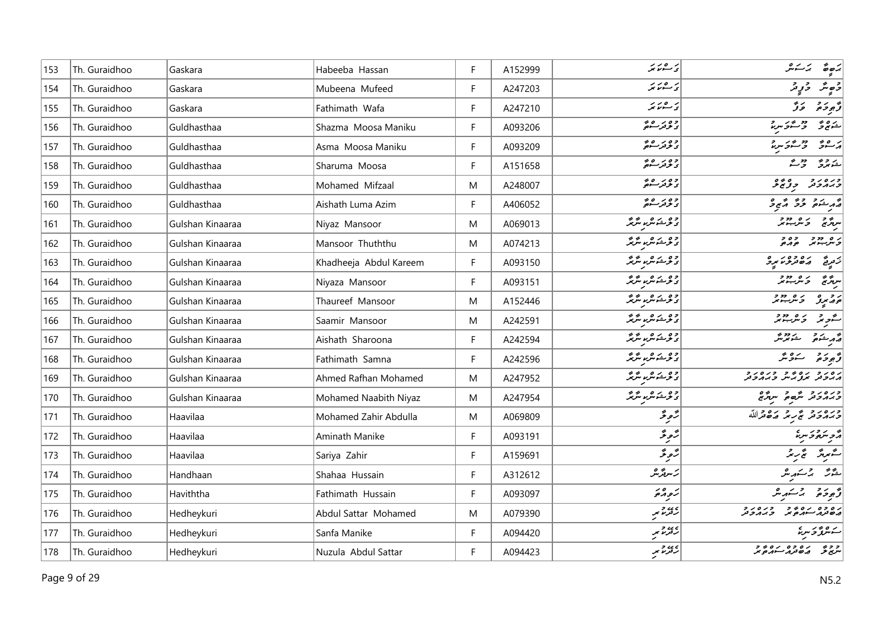| 153 | Th. Guraidhoo | Gaskara          | Habeeba Hassan         | F  | A152999 | ى سەئەتىر                                    | برسەيىتىر<br>پرُحوَةٌ                                               |
|-----|---------------|------------------|------------------------|----|---------|----------------------------------------------|---------------------------------------------------------------------|
| 154 | Th. Guraidhoo | Gaskara          | Mubeena Mufeed         | F. | A247203 | ىر ھەئەبجە                                   | ا تو چې پېژنې<br>د<br>څ تړ تر                                       |
| 155 | Th. Guraidhoo | Gaskara          | Fathimath Wafa         | F  | A247210 | ىر ھەيزىر                                    | ىرتى<br>و مرد د                                                     |
| 156 | Th. Guraidhoo | Guldhasthaa      | Shazma Moosa Maniku    | F. | A093206 | و ه بر _ه پ<br>پ <del>ت</del> رترسو <i>ن</i> | ے جاتھ گ <sup>ی</sup><br>سندھے گ<br>وحر شر بر رو                    |
| 157 | Th. Guraidhoo | Guldhasthaa      | Asma Moosa Maniku      | F  | A093209 | و ه بر ۵ پر<br>پی تونسر شخصی                 | رَ هِ شَر<br>دو مشرکة مرب <sup>و</sup>                              |
| 158 | Th. Guraidhoo | Guldhasthaa      | Sharuma Moosa          | F  | A151658 | و ه بر _ه پ <sub>چ</sub>                     | دو مئے<br>شە تەرىخ                                                  |
| 159 | Th. Guraidhoo | Guldhasthaa      | Mohamed Mifzaal        | M  | A248007 | و ه د ر ه پ <sub>ر</sub><br>د نوترسسه        | و ر ه ر و<br>تر پر تر تر<br>جرۇئچ بى                                |
| 160 | Th. Guraidhoo | Guldhasthaa      | Aishath Luma Azim      | F  | A406052 | وه بر ۵ پر<br>پی توتر شد <i>ه</i>            | أقهر منكاته ومحرقه أترمي والمحمد                                    |
| 161 | Th. Guraidhoo | Gulshan Kinaaraa | Niyaz Mansoor          | M  | A069013 | د تۇيخەشرىر م <sup>ى</sup> رىگە              | ייערה ביירי-די                                                      |
| 162 | Th. Guraidhoo | Gulshan Kinaaraa | Mansoor Thuththu       | M  | A074213 | د تۇيخەشرىر م <sup>ى</sup> رىگە              | ים מככ כסכ<br>קייקי המיק                                            |
| 163 | Th. Guraidhoo | Gulshan Kinaaraa | Khadheeja Abdul Kareem | F. | A093150 | د و ځه شرو شریگه                             | ره وه ر<br>پره ترتون برو<br>نزَمَدِيَّحَ                            |
| 164 | Th. Guraidhoo | Gulshan Kinaaraa | Niyaza Mansoor         | F  | A093151 | د و ځه شرمر شر شر                            | ىر ھەدىر<br>سرترنج                                                  |
| 165 | Th. Guraidhoo | Gulshan Kinaaraa | Thaureef Mansoor       | M  | A152446 | د و ۲۵ مربر متر پژ                           | ىر ھەج جۇ ج<br>ر د په د ه                                           |
| 166 | Th. Guraidhoo | Gulshan Kinaaraa | Saamir Mansoor         | M  | A242591 | د تۇيخەشرىر م <sup>ى</sup> رىگە              | ستمريز<br>پر ۵٫۵ و                                                  |
| 167 | Th. Guraidhoo | Gulshan Kinaaraa | Aishath Sharoona       | F  | A242594 | دە ئەھەر ئىگە<br>ئ                           | د.<br>دگاه شومی مشومرس                                              |
| 168 | Th. Guraidhoo | Gulshan Kinaaraa | Fathimath Samna        | F. | A242596 | ئەقرىئەنلەر بىرىگە<br>                       | ۇ بەرە سەۋىتر                                                       |
| 169 | Th. Guraidhoo | Gulshan Kinaaraa | Ahmed Rafhan Mohamed   | M  | A247952 | د و ۲۵ مربر متر پژ                           | ג סג כ-ג ס שיכ-כג סג כ-<br>הגבת-ית צ'גיית-כג הבת                    |
| 170 | Th. Guraidhoo | Gulshan Kinaaraa | Mohamed Naabith Niyaz  | M  | A247954 | ئۇغسىنى ئىرى <i>مىڭ</i> رىگە                 | כמחכת יתסף ייתוא                                                    |
| 171 | Th. Guraidhoo | Haavilaa         | Mohamed Zahir Abdulla  | M  | A069809 | رَّحْمَ                                      | ورەرو گرىز كەھىراللە                                                |
| 172 | Th. Guraidhoo | Haavilaa         | Aminath Manike         | F  | A093191 | ر<br>رمونژ                                   | ۇ ئەستەۋسىر                                                         |
| 173 | Th. Guraidhoo | Haavilaa         | Sariya Zahir           | F  | A159691 | رمع فحر                                      | ستمبررشر<br>پچ سر پخه<br>مخ                                         |
| 174 | Th. Guraidhoo | Handhaan         | Shahaa Hussain         | F  | A312612 | ر<br>ئەسرىگەنگە                              | الشرق بركته مرهر                                                    |
| 175 | Th. Guraidhoo | Haviththa        | Fathimath Hussain      | F  | A093097 | رَءِ مُرَة                                   | ۋە دە بىر ئىر                                                       |
| 176 | Th. Guraidhoo | Hedheykuri       | Abdul Sattar Mohamed   | M  | A079390 | ے رے ح<br>مرفون مو                           | גם כם גם 4 כ - כגם גב<br>גם <i>נק</i> ג <del>- י</del> ריג בג'ורבינ |
| 177 | Th. Guraidhoo | Hedheykuri       | Sanfa Manike           | F. | A094420 | ے پے ح<br>مرفتر مو                           | سە ئىرىگە ئەس ئە                                                    |
| 178 | Th. Guraidhoo | Hedheykuri       | Nuzula Abdul Sattar    | F  | A094423 | ه پر و<br> رتور مو                           | د د ده ده ده ده د<br>سرچ د هامره سرموند                             |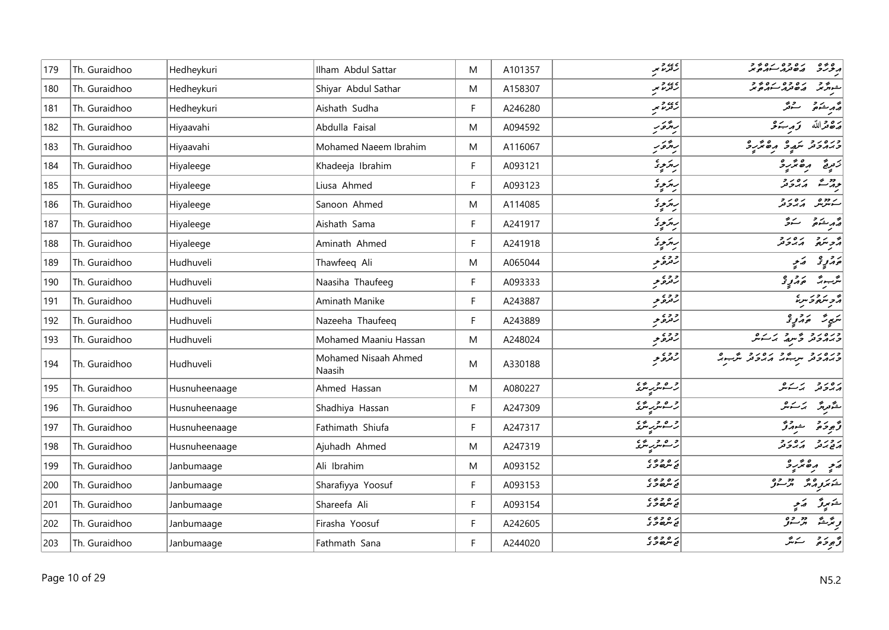| 179 | Th. Guraidhoo | Hedheykuri    | Ilham Abdul Sattar             | M  | A101357 | <br> رتورا سر                       | ر ه و ه ر ر ه د و<br>پره تو پر سوړنو بر<br>ەر ئەرم |
|-----|---------------|---------------|--------------------------------|----|---------|-------------------------------------|----------------------------------------------------|
| 180 | Th. Guraidhoo | Hedheykuri    | Shiyar Abdul Sathar            | M  | A158307 | ے پے ح<br>مرتقمہ سر                 | د د ده ده ده د د د د<br>شوهر در ایران در ایران     |
| 181 | Th. Guraidhoo | Hedheykuri    | Aishath Sudha                  | F  | A246280 | در د د<br>  رتور نمبر               | ۇرمىسى ھەرىسى<br>مەركىسى سىقىر                     |
| 182 | Th. Guraidhoo | Hiyaavahi     | Abdulla Faisal                 | M  | A094592 | رېژوَر                              | مَصْحَدَاللّه وَمُسْتَوَ                           |
| 183 | Th. Guraidhoo | Hiyaavahi     | Mohamed Naeem Ibrahim          | M  | A116067 | رېژو <i>ر</i>                       | ورەرو ئىم ۋ مەھرىد                                 |
| 184 | Th. Guraidhoo | Hiyaleege     | Khadeeja Ibrahim               | F  | A093121 | رېزىپە<br>ئە                        | زَ بِرِيعٌ مِنْ مُرْرِدْ                           |
| 185 | Th. Guraidhoo | Hiyaleege     | Liusa Ahmed                    | F  | A093123 | رېزېږ <sup>ي</sup><br>ر             | بر ٥ پر و<br>د بر <del>و</del> تر<br>  پرچ مش      |
| 186 | Th. Guraidhoo | Hiyaleege     | Sanoon Ahmed                   | M  | A114085 | رېزېږ <sup>ي</sup>                  | سەددە بەرد                                         |
| 187 | Th. Guraidhoo | Hiyaleege     | Aishath Sama                   | F  | A241917 | رېزېږ <sup>ي</sup>                  | أقهر شدة ومسترقح                                   |
| 188 | Th. Guraidhoo | Hiyaleege     | Aminath Ahmed                  | F  | A241918 | رېزىپە <sup>ي</sup>                 | ومحر متعالج والمردح                                |
| 189 | Th. Guraidhoo | Hudhuveli     | Thawfeeq Ali                   | M  | A065044 | الزقرة و                            | أتورو ويحمي                                        |
| 190 | Th. Guraidhoo | Hudhuveli     | Naasiha Thaufeeg               | F  | A093333 | و و ۽<br>ريو گر                     | شهر مار در در مار<br>مرسور مار                     |
| 191 | Th. Guraidhoo | Hudhuveli     | Aminath Manike                 | F. | A243887 | روء پر                              | أأد يتموذ بيرنا                                    |
| 192 | Th. Guraidhoo | Hudhuveli     | Nazeeha Thaufeeq               | F. | A243889 | ر د ه ه<br> ر مرغ م                 | ىئىي ئەرەپى<br>م                                   |
| 193 | Th. Guraidhoo | Hudhuveli     | Mohamed Maaniu Hassan          | M  | A248024 | د ده د                              | כממכני כיתג ג' ביל                                 |
| 194 | Th. Guraidhoo | Hudhuveli     | Mohamed Nisaah Ahmed<br>Naasih | M  | A330188 | و و ،<br>رتره م                     | ورەرو سرجد رەرو شريد                               |
| 195 | Th. Guraidhoo | Husnuheenaage | Ahmed Hassan                   | M  | A080227 | ر مەش <sub>رىپ</sub> ىدىكى<br>مەسىر | رەرد ئەسەر                                         |
| 196 | Th. Guraidhoo | Husnuheenaage | Shadhiya Hassan                | F  | A247309 | ر مەش <sub>رىپ</sub> ىدى<br>ئ       | شگورنگر کرکے مگر                                   |
| 197 | Th. Guraidhoo | Husnuheenaage | Fathimath Shiufa               | F  | A247317 | ر مەيرى <sub>ر بىرى</sub>           | أَوَّ جِرْحَمْ مُشْرِدٌ وَ                         |
| 198 | Th. Guraidhoo | Husnuheenaage | Ajuhadh Ahmed                  | M  | A247319 | ر مەش <sub>رىپ</sub> ىدى<br>مەسرىپە | ג כג כ גם גם<br>הב גנג הגבע                        |
| 199 | Th. Guraidhoo | Janbumaage    | Ali Ibrahim                    | M  | A093152 | ر ه د و و ،<br>تع سرچ تر ی          | أمو مقتربة                                         |
| 200 | Th. Guraidhoo | Janbumaage    | Sharafiyya Yoosuf              | F  | A093153 | ر ه د و و ،<br>تع سرچ تر ی          | شە ئەرەپ دەرە                                      |
| 201 | Th. Guraidhoo | Janbumaage    | Shareefa Ali                   | F  | A093154 | ر ه د و و<br>نح سرچ تر د            | خنيرتى كالمج                                       |
| 202 | Th. Guraidhoo | Janbumaage    | Firasha Yoosuf                 | F  | A242605 | ر ه د و و<br>نح سرچ تر د            | ى <sub>ر م</sub> ېرىش ھەردە                        |
| 203 | Th. Guraidhoo | Janbumaage    | Fathmath Sana                  | F. | A244020 | ر ه د و و ء<br>قع سرچ تر ی          | ژوده سکتر                                          |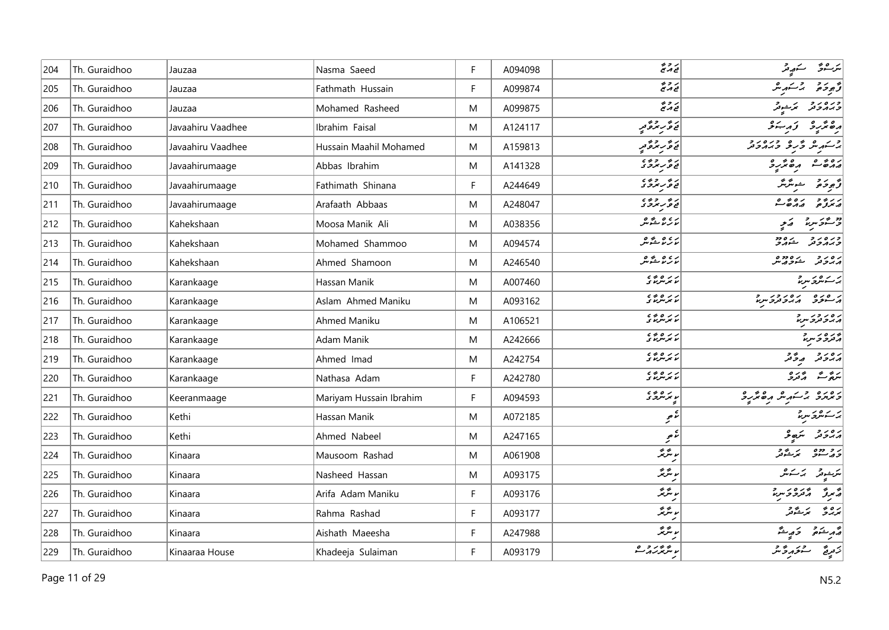| 204 | Th. Guraidhoo | Jauzaa            | Nasma Saeed             | F         | A094098 | ر و ه<br>ق پر نخ                            | يَرَكْزُ = سَيَهِ مِرْ                |
|-----|---------------|-------------------|-------------------------|-----------|---------|---------------------------------------------|---------------------------------------|
| 205 | Th. Guraidhoo | Jauzaa            | Fathmath Hussain        | F         | A099874 | ر و د<br>ق                                  | توجوج برسمه شر                        |
| 206 | Th. Guraidhoo | Jauzaa            | Mohamed Rasheed         | ${\sf M}$ | A099875 | ر و د<br>قع آرم                             | وره دو کردونه                         |
| 207 | Th. Guraidhoo | Javaahiru Vaadhee | Ibrahim Faisal          | ${\sf M}$ | A124117 | بر څر برگړ مړ                               | رەڭرىر زىربىر                         |
| 208 | Th. Guraidhoo | Javaahiru Vaadhee | Hussain Maahil Mohamed  | M         | A159813 | بر گرېرگرگور                                | جسكر مكر والملحقة والمستحصر           |
| 209 | Th. Guraidhoo | Javaahirumaage    | Abbas Ibrahim           | M         | A141328 | ر و روو ،<br>محافر برو د                    | 250/<br>ەھ ئەر ۋ                      |
| 210 | Th. Guraidhoo | Javaahirumaage    | Fathimath Shinana       | F         | A244649 | پر څر پر چري<br>  پنج مر پر چر <sub>چ</sub> | ژودۇ سېترىتر                          |
| 211 | Th. Guraidhoo | Javaahirumaage    | Arafaath Abbaas         | M         | A248047 | پر څر پر چري<br>  پنج مر پر چر <sub>چ</sub> | رەپچە<br>ر ر بر د<br>ه. بروگر         |
| 212 | Th. Guraidhoo | Kahekshaan        | Moosa Manik Ali         | ${\sf M}$ | A038356 | ر ، ه <u>. .</u> ه<br>بار نا څه مګر         | تۇستەنجە بىرىد<br>ەتىر                |
| 213 | Th. Guraidhoo | Kahekshaan        | Mohamed Shammoo         | ${\sf M}$ | A094574 | ر ، ه <u>. په</u> ه                         | ستەدى<br>و ره ر و<br><i>و پر</i> و تر |
| 214 | Th. Guraidhoo | Kahekshaan        | Ahmed Shamoon           | M         | A246540 | ر ، ه <u>. .</u> ه<br>بار نا څه مګر         | شە 270 ھ<br>برور و                    |
| 215 | Th. Guraidhoo | Karankaage        | Hassan Manik            | M         | A007460 | ر ره و د ،<br>ما بر مرد د                   | ىر سەھ بەر <i>ج</i>                   |
| 216 | Th. Guraidhoo | Karankaage        | Aslam Ahmed Maniku      | M         | A093162 | ر ر ه و و ،<br>ما مرس د د                   | ג סנים ניפנים ב                       |
| 217 | Th. Guraidhoo | Karankaage        | Ahmed Maniku            | M         | A106521 | ر ر ه و ،<br>ما بر مرد د                    | ر ە ر د ر د<br>ג ژ ژ تر ژ سربا        |
| 218 | Th. Guraidhoo | Karankaage        | Adam Manik              | ${\sf M}$ | A242666 | ر ر ه و و ،<br>ما مورس                      | پر ده ر<br>د ترو و سربا               |
| 219 | Th. Guraidhoo | Karankaage        | Ahmed Imad              | ${\sf M}$ | A242754 | ر ر ه و »<br>ما موسود د                     | پروژو<br>ەر ئۇ تىر                    |
| 220 | Th. Guraidhoo | Karankaage        | Nathasa Adam            | F         | A242780 | ر ر ه و و ،<br>ما مورس                      | يرە ئە ئەرە                           |
| 221 | Th. Guraidhoo | Keeranmaage       | Mariyam Hussain Ibrahim | F         | A094593 | لېپر شوي                                    | גם גם כי התוכנית תפיציקים             |
| 222 | Th. Guraidhoo | Kethi             | Hassan Manik            | M         | A072185 | ء<br>موس                                    | پر کے مرکز سربر                       |
| 223 | Th. Guraidhoo | Kethi             | Ahmed Nabeel            | ${\sf M}$ | A247165 | ء<br>موھ                                    | رەر ئەھ                               |
| 224 | Th. Guraidhoo | Kinaara           | Mausoom Rashad          | ${\sf M}$ | A061908 | ىرىئەتە                                     | ر و دوه<br>تره سوتر<br>ىر شەتر        |
| 225 | Th. Guraidhoo | Kinaara           | Nasheed Hassan          | M         | A093175 | ىدىنىگە                                     | للرسيوقر الكاسكس                      |
| 226 | Th. Guraidhoo | Kinaara           | Arifa Adam Maniku       | F         | A093176 | ىدىنىگە                                     |                                       |
| 227 | Th. Guraidhoo | Kinaara           | Rahma Rashad            | F         | A093177 | ىرىترىتر                                    | برە ئەر ئەر                           |
| 228 | Th. Guraidhoo | Kinaara           | Aishath Maeesha         | F         | A247988 | بېرىنگە                                     | مستحصر وميشم                          |
| 229 | Th. Guraidhoo | Kinaaraa House    | Khadeeja Sulaiman       | F         | A093179 | ر پیمبر بر د ه<br>را میتر <i>شر</i> شه      | ئەيدە ئەسىمى ئەتىر                    |
|     |               |                   |                         |           |         |                                             |                                       |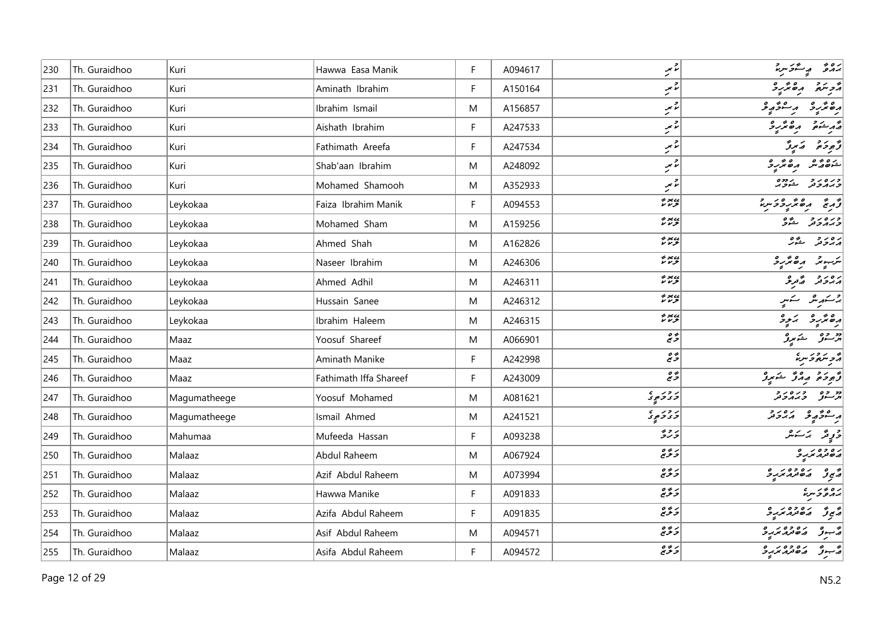| 230 | Th. Guraidhoo | Kuri         | Hawwa Easa Manik       | F         | A094617 | و<br>موسمبر         | بره بو<br>بربرغ<br>ە يەستىق ئىبرىد          |
|-----|---------------|--------------|------------------------|-----------|---------|---------------------|---------------------------------------------|
| 231 | Th. Guraidhoo | Kuri         | Aminath Ibrahim        | F         | A150164 | و<br>ما مو          | دە ئەرد<br>أرمز يتمده                       |
| 232 | Th. Guraidhoo | Kuri         | Ibrahim Ismail         | M         | A156857 | و<br>موس            | دە ئۈرۈ<br>بر شۇپەيۋ                        |
| 233 | Th. Guraidhoo | Kuri         | Aishath Ibrahim        | F         | A247533 | و<br>موس            | وأمرشوهم<br>ە ھەترىرى<br>برھەترىرى          |
| 234 | Th. Guraidhoo | Kuri         | Fathimath Areefa       | F         | A247534 | د<br>موسمبر         | ۇ بوز ە<br>ەئىمىرى                          |
| 235 | Th. Guraidhoo | Kuri         | Shab'aan Ibrahim       | M         | A248092 | تتمسح               | شەھەر ش<br>ەھترىرى                          |
| 236 | Th. Guraidhoo | Kuri         | Mohamed Shamooh        | ${\sf M}$ | A352933 | و<br>ما مو          | شەددە.<br>و ر ه ر د<br>د بر پر تر           |
| 237 | Th. Guraidhoo | Leykokaa     | Faiza Ibrahim Manik    | F         | A094553 | رے پر بر<br>مورد ر  | أؤربج ره مركز وسره                          |
| 238 | Th. Guraidhoo | Leykokaa     | Mohamed Sham           | M         | A159256 | در پر پر<br>مورد ر  | و ر ه ر د<br><i>و بر</i> پر تر<br>ستشرو     |
| 239 | Th. Guraidhoo | Leykokaa     | Ahmed Shah             | M         | A162826 | در پر پر<br>مورد ر  | رەر ئەر                                     |
| 240 | Th. Guraidhoo | Leykokaa     | Naseer Ibrahim         | M         | A246306 | در پر در<br>مورد ر  | يرسونز المقتربة                             |
| 241 | Th. Guraidhoo | Leykokaa     | Ahmed Adhil            | M         | A246311 | در پر در<br>مورد ر  | بر 2 پر 13<br>مربر <del>5</del> تر<br>ەگەرى |
| 242 | Th. Guraidhoo | Leykokaa     | Hussain Sanee          | M         | A246312 | ر پر در<br>مورد ر   | چرىسىم كەبىر                                |
| 243 | Th. Guraidhoo | Leykokaa     | Ibrahim Haleem         | M         | A246315 | ر پر در<br>مورد ر   |                                             |
| 244 | Th. Guraidhoo | Maaz         | Yoosuf Shareef         | M         | A066901 | رچ                  | در ده شمېرو<br>درسون شمېرو                  |
| 245 | Th. Guraidhoo | Maaz         | Aminath Manike         | F         | A242998 | رمج                 | أروبتموذبيرة                                |
| 246 | Th. Guraidhoo | Maaz         | Fathimath Iffa Shareef | F         | A243009 | رچ                  | وتجودة ممارق خبرو                           |
| 247 | Th. Guraidhoo | Magumatheege | Yoosuf Mohamed         | M         | A081621 | ر ور<br>5 د د حو د  | מ כם כנסנב<br>ת—נצ                          |
| 248 | Th. Guraidhoo | Magumatheege | Ismail Ahmed           | M         | A241521 | ر و ر<br>5 د تر مړن | وستورو ورود                                 |
| 249 | Th. Guraidhoo | Mahumaa      | Mufeeda Hassan         | F         | A093238 | وروء                | دْرِيْرٌ يَرْسَرْ                           |
| 250 | Th. Guraidhoo | Malaaz       | Abdul Raheem           | M         | A067924 | ترمج ہ              |                                             |
| 251 | Th. Guraidhoo | Malaaz       | Azif Abdul Raheem      | M         | A073994 | ر ژه<br>د ژنم       | پ <sup>ر</sup> ہو تو                        |
| 252 | Th. Guraidhoo | Malaaz       | Hawwa Manike           | F         | A091833 | ترمج ہ              | رە پەر پ                                    |
| 253 | Th. Guraidhoo | Malaaz       | Azifa Abdul Raheem     | F         | A091835 | ىر بۇ ە             | ره وه در ه<br>د پر پی<br>منبو پ             |
| 254 | Th. Guraidhoo | Malaaz       | Asif Abdul Raheem      | M         | A094571 | رژه<br>             | ره وه رخمه د<br>مان فرم نر پر د<br>وشبوقر   |
| 255 | Th. Guraidhoo | Malaaz       | Asifa Abdul Raheem     | F         | A094572 | ر ژه<br>د ژنم       | ومبوس وەمدىرە                               |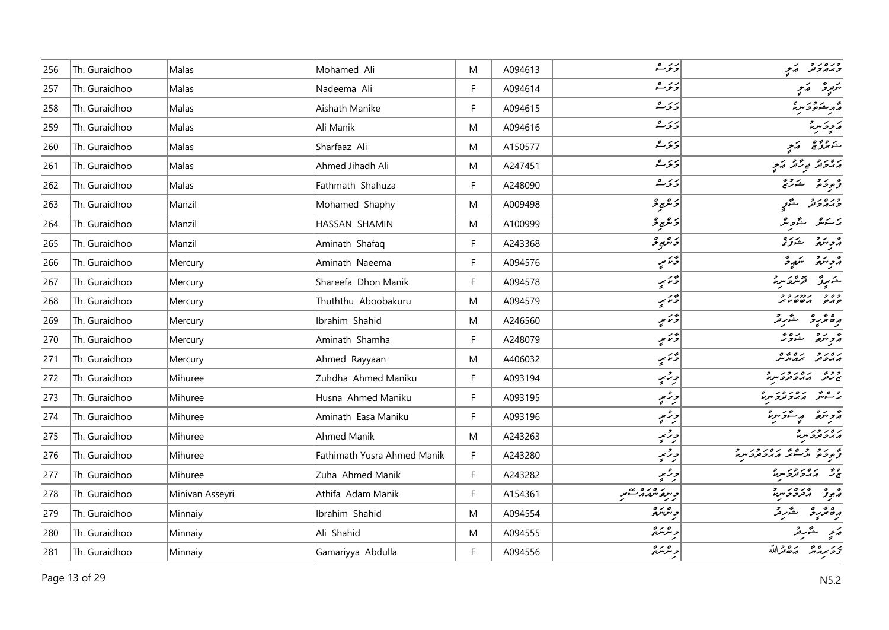| 256 | Th. Guraidhoo | Malas           | Mohamed Ali                 | M           | A094613 | ىز ئە                             | دره رو در                                                                                                                                                                                                                                                                                                                                                                                                                                                                                                                                          |
|-----|---------------|-----------------|-----------------------------|-------------|---------|-----------------------------------|----------------------------------------------------------------------------------------------------------------------------------------------------------------------------------------------------------------------------------------------------------------------------------------------------------------------------------------------------------------------------------------------------------------------------------------------------------------------------------------------------------------------------------------------------|
| 257 | Th. Guraidhoo | Malas           | Nadeema Ali                 | F           | A094614 | ى ئەر ھ                           | ير <sub>يجر</sub> ي <sub>م</sub> ركز                                                                                                                                                                                                                                                                                                                                                                                                                                                                                                               |
| 258 | Th. Guraidhoo | Malas           | Aishath Manike              | F           | A094615 | ىز ئە                             | و د مشور د سره<br>د مشور د سره                                                                                                                                                                                                                                                                                                                                                                                                                                                                                                                     |
| 259 | Th. Guraidhoo | Malas           | Ali Manik                   | M           | A094616 | ىر ئەر                            | ر<br>مرمز خریدره<br>مرمز                                                                                                                                                                                                                                                                                                                                                                                                                                                                                                                           |
| 260 | Th. Guraidhoo | Malas           | Sharfaaz Ali                | M           | A150577 | ىز ئە                             | $\begin{array}{cc} \hline \overline{\phantom{0}} & \phantom{\int_{\mathcal{L}}} & \phantom{\int_{\mathcal{L}}} & \phantom{\int_{\mathcal{L}}} & \phantom{\int_{\mathcal{L}}} & \phantom{\int_{\mathcal{L}}} & \phantom{\int_{\mathcal{L}}} & \phantom{\int_{\mathcal{L}}} & \phantom{\int_{\mathcal{L}}} & \phantom{\int_{\mathcal{L}}} & \phantom{\int_{\mathcal{L}}} & \phantom{\int_{\mathcal{L}}} & \phantom{\int_{\mathcal{L}}} & \phantom{\int_{\mathcal{L}}} & \phantom{\int_{\mathcal{L}}} & \phantom{\int_{\mathcal{L}}} & \phantom{\int$ |
| 261 | Th. Guraidhoo | Malas           | Ahmed Jihadh Ali            | M           | A247451 | ىر ئەر<br>مەنبەر                  | ره د د په د په کام                                                                                                                                                                                                                                                                                                                                                                                                                                                                                                                                 |
| 262 | Th. Guraidhoo | Malas           | Fathmath Shahuza            | F           | A248090 | ىز ئە                             | و و د درود                                                                                                                                                                                                                                                                                                                                                                                                                                                                                                                                         |
| 263 | Th. Guraidhoo | Manzil          | Mohamed Shaphy              | M           | A009498 | ۇ ئىرىپۇ                          | ورەر دۇر                                                                                                                                                                                                                                                                                                                                                                                                                                                                                                                                           |
| 264 | Th. Guraidhoo | Manzil          | HASSAN SHAMIN               | M           | A100999 | ئەنگە بو                          | برسكس الحقوش                                                                                                                                                                                                                                                                                                                                                                                                                                                                                                                                       |
| 265 | Th. Guraidhoo | Manzil          | Aminath Shafaq              | $\mathsf F$ | A243368 | ۇ ئىرىپو ئى                       | أأروسه والمنافي                                                                                                                                                                                                                                                                                                                                                                                                                                                                                                                                    |
| 266 | Th. Guraidhoo | Mercury         | Aminath Naeema              | F           | A094576 | لځنمې                             | أأدبتم تتميز                                                                                                                                                                                                                                                                                                                                                                                                                                                                                                                                       |
| 267 | Th. Guraidhoo | Mercury         | Shareefa Dhon Manik         | F           | A094578 | د مړينې<br>په پ                   | شەبرۇ ترىردىرىز                                                                                                                                                                                                                                                                                                                                                                                                                                                                                                                                    |
| 268 | Th. Guraidhoo | Mercury         | Thuththu Aboobakuru         | M           | A094579 | د مړينې<br>په خپ                  | 777777707                                                                                                                                                                                                                                                                                                                                                                                                                                                                                                                                          |
| 269 | Th. Guraidhoo | Mercury         | Ibrahim Shahid              | ${\sf M}$   | A246560 | د مړينې<br>په خپ                  | ەھترىر ھەرىر<br>رەھترىر ھ                                                                                                                                                                                                                                                                                                                                                                                                                                                                                                                          |
| 270 | Th. Guraidhoo | Mercury         | Aminath Shamha              | F           | A248079 | د مړينې<br>په خپ                  | $\frac{1}{282}$                                                                                                                                                                                                                                                                                                                                                                                                                                                                                                                                    |
| 271 | Th. Guraidhoo | Mercury         | Ahmed Rayyaan               | M           | A406032 | اقْتَمَعِيهِ                      | גם גם גם מם.<br>הגבת הההתית                                                                                                                                                                                                                                                                                                                                                                                                                                                                                                                        |
| 272 | Th. Guraidhoo | Mihuree         | Zuhdha Ahmed Maniku         | F           | A093194 | حرشمير                            | ככל המכנקבית ל                                                                                                                                                                                                                                                                                                                                                                                                                                                                                                                                     |
| 273 | Th. Guraidhoo | Mihuree         | Husna Ahmed Maniku          | F           | A093195 | ح <sup>ر ح</sup> مير<br>مر        | כ פו <i>ש גם גבע</i> לייני                                                                                                                                                                                                                                                                                                                                                                                                                                                                                                                         |
| 274 | Th. Guraidhoo | Mihuree         | Aminath Easa Maniku         | F.          | A093196 | ىر شەير<br>مەسم                   | أقرجتم ويستكرمن                                                                                                                                                                                                                                                                                                                                                                                                                                                                                                                                    |
| 275 | Th. Guraidhoo | Mihuree         | <b>Ahmed Manik</b>          | M           | A243263 | حرشمير                            | ر ەر در<br>مەر دىرى س                                                                                                                                                                                                                                                                                                                                                                                                                                                                                                                              |
| 276 | Th. Guraidhoo | Mihuree         | Fathimath Yusra Ahmed Manik | F.          | A243280 | حرشمير                            | ם גב כ ס כ גם בכתבת.<br>צ'וקבים וקריינג' ג'ובבית מ                                                                                                                                                                                                                                                                                                                                                                                                                                                                                                 |
| 277 | Th. Guraidhoo | Mihuree         | Zuha Ahmed Manik            | $\mathsf F$ | A243282 | حرجمي                             | ב הפניקית                                                                                                                                                                                                                                                                                                                                                                                                                                                                                                                                          |
| 278 | Th. Guraidhoo | Minivan Asseyri | Athifa Adam Manik           | F           | A154361 | ح سره مره منه<br>مرسم سرد د کشمیر | پر ده ر<br>د ترو تر سربر<br>وتبوقر                                                                                                                                                                                                                                                                                                                                                                                                                                                                                                                 |
| 279 | Th. Guraidhoo | Minnaiy         | Ibrahim Shahid              | M           | A094554 | وبثريثهم                          | رەبرىرى ھەرىر<br>رەبرىرى ھەرىر                                                                                                                                                                                                                                                                                                                                                                                                                                                                                                                     |
| 280 | Th. Guraidhoo | Minnaiy         | Ali Shahid                  | M           | A094555 | وبثربتهم                          | أرشح المتقربة                                                                                                                                                                                                                                                                                                                                                                                                                                                                                                                                      |
| 281 | Th. Guraidhoo | Minnaiy         | Gamariyya Abdulla           | F           | A094556 | ادِ عربيدهِ                       | يُدَّمِهُ مَصْرَاللَّهُ                                                                                                                                                                                                                                                                                                                                                                                                                                                                                                                            |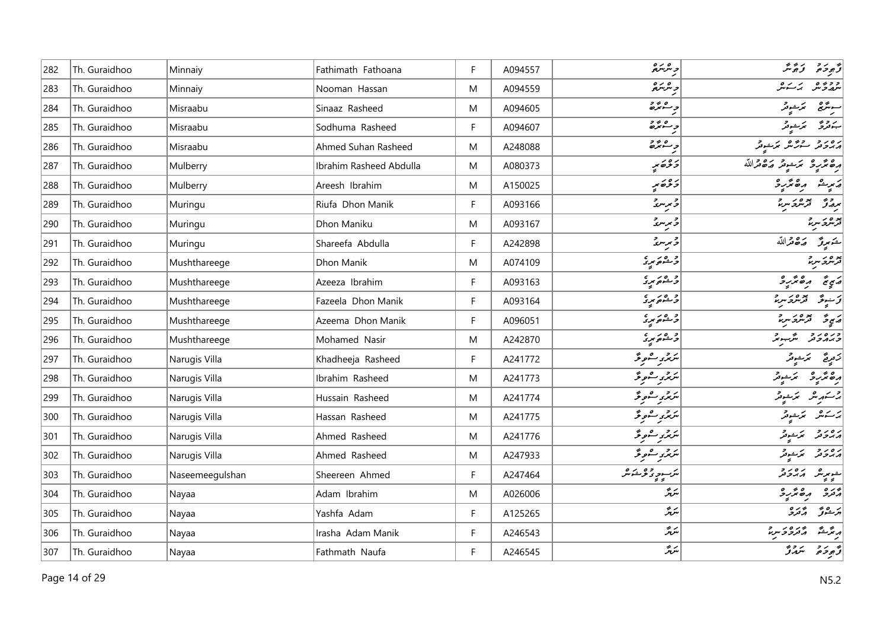| 282 | Th. Guraidhoo | Minnaiy         | Fathimath Fathoana      | F         | A094557 | وبثربتهم                                 | قهوخوا وتجام                           |
|-----|---------------|-----------------|-------------------------|-----------|---------|------------------------------------------|----------------------------------------|
| 283 | Th. Guraidhoo | Minnaiy         | Nooman Hassan           | ${\sf M}$ | A094559 | وبثريتهم                                 | مەدەم ئەسكىر                           |
| 284 | Th. Guraidhoo | Misraabu        | Sinaaz Rasheed          | ${\sf M}$ | A094605 | و شوپړه                                  | سيندهي ترشيتر                          |
| 285 | Th. Guraidhoo | Misraabu        | Sodhuma Rasheed         | F         | A094607 | وسكونته                                  | ر دونو گردارد<br>سوفری گرداری          |
| 286 | Th. Guraidhoo | Misraabu        | Ahmed Suhan Rasheed     | M         | A248088 | اديده                                    | رەر د دورە بەيدە<br>مەدوىر سەرىر بەيدى |
| 287 | Th. Guraidhoo | Mulberry        | Ibrahim Rasheed Abdulla | M         | A080373 | دَءُهَ پِ                                | مەھەر ئەن ئەسىمە ئەھەراللە             |
| 288 | Th. Guraidhoo | Mulberry        | Areesh Ibrahim          | ${\sf M}$ | A150025 | أذقوهم                                   | أرسي مقترح                             |
| 289 | Th. Guraidhoo | Muringu         | Riufa Dhon Manik        | F         | A093166 | ومرسر                                    | أبروز ترعدته                           |
| 290 | Th. Guraidhoo | Muringu         | Dhon Maniku             | ${\sf M}$ | A093167 | ومرسر                                    | بر مریر سرچ<br>فرمریز سربر             |
| 291 | Th. Guraidhoo | Muringu         | Shareefa Abdulla        | F         | A242898 | 3 مرسر                                   | ەھىراللە<br>ىشەمىرى <i>ق</i>           |
| 292 | Th. Guraidhoo | Mushthareege    | Dhon Manik              | M         | A074109 | ژیشه تهری<br>  ژیشه تهری                 | پر 2 پر 7<br>تر سرچ سربر               |
| 293 | Th. Guraidhoo | Mushthareege    | Azeeza Ibrahim          | F         | A093163 | د مشر تمرید می<br>مرگ                    |                                        |
| 294 | Th. Guraidhoo | Mushthareege    | Fazeela Dhon Manik      | F         | A093164 | د هېم مړي<br>د شوم مړي                   | ۇ ئەيدۇ<br>بو ه پر ر <sup>و</sup>      |
| 295 | Th. Guraidhoo | Mushthareege    | Azeema Dhon Manik       | F         | A096051 | و شوېر په<br>د شوې پرې                   | ב' ביצי ביותר ביותר                    |
| 296 | Th. Guraidhoo | Mushthareege    | Mohamed Nasir           | M         | A242870 | د هېم مړي<br>د شوم مړي                   | ورەرو شبەتر                            |
| 297 | Th. Guraidhoo | Narugis Villa   | Khadheeja Rasheed       | F         | A241772 | ىئرىزىر سىفرىتى                          | ىر ئىسىيەتىر<br>ئە<br>ترموقج<br>س      |
| 298 | Th. Guraidhoo | Narugis Villa   | Ibrahim Rasheed         | ${\sf M}$ | A241773 | ىئر <i>پرېمو سى</i> مو ئ <sup>ۇ</sup>    | ارەتمەر<br>ىر ئىشوقىر<br>ئى            |
| 299 | Th. Guraidhoo | Narugis Villa   | Hussain Rasheed         | M         | A241774 | ىئرىزىر سىفرىتى                          | 2 سەرپىر - ئەش <sub>ى</sub> قە         |
| 300 | Th. Guraidhoo | Narugis Villa   | Hassan Rasheed          | M         | A241775 | ىئر <i>پرېمو سىمو</i> ئۇ                 | ىرىكىش ئىرشوقر                         |
| 301 | Th. Guraidhoo | Narugis Villa   | Ahmed Rasheed           | M         | A241776 | ىئرىزى <sub>ر</sub> سى <sub>مو</sub> ىتى | پرورو کردونر                           |
| 302 | Th. Guraidhoo | Narugis Villa   | Ahmed Rasheed           | ${\sf M}$ | A247933 | ىئر <i>پرېمو سىمو</i> ئۇ                 | أرور والمتحصر                          |
| 303 | Th. Guraidhoo | Naseemeegulshan | Sheereen Ahmed          | F         | A247464 | اير بەر دەپ قاتىل<br>سىر ئەرگۈشكەنلەر    | شوبرش كەرەر<br>ئەسلىرىش كەبروتر        |
| 304 | Th. Guraidhoo | Nayaa           | Adam Ibrahim            | ${\sf M}$ | A026006 | سرپڑ                                     | أرمزد رەممىرو                          |
| 305 | Th. Guraidhoo | Nayaa           | Yashfa Adam             | F         | A125265 | سرپڑ                                     | پەر ە<br>مەنزۈ<br>ېزىشوتر              |
| 306 | Th. Guraidhoo | Nayaa           | Irasha Adam Manik       | F         | A246543 | سرپڑ                                     | بربرششه<br>و ده د سره                  |
| 307 | Th. Guraidhoo | Nayaa           | Fathmath Naufa          | F         | A246545 | سربر                                     | أثرو حروم                              |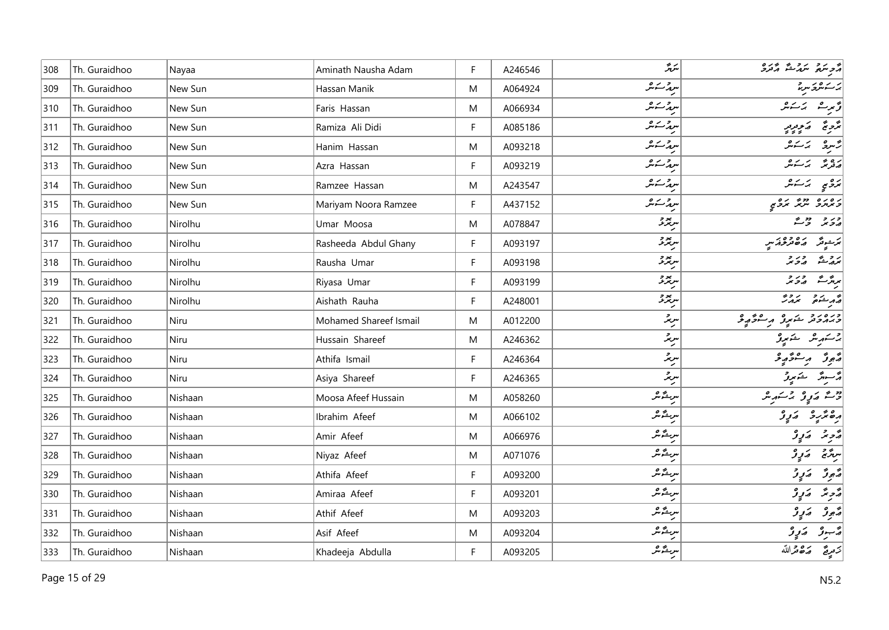| 308 | Th. Guraidhoo | Nayaa   | Aminath Nausha Adam    | F         | A246546 | سربر         | أأدمر والمروث أوره                                                   |
|-----|---------------|---------|------------------------|-----------|---------|--------------|----------------------------------------------------------------------|
| 309 | Th. Guraidhoo | New Sun | Hassan Manik           | M         | A064924 | ابىر ئەسە    | ئەسەھرى بىرى <i>ق</i>                                                |
| 310 | Th. Guraidhoo | New Sun | Faris Hassan           | ${\sf M}$ | A066934 | سرچرىسكىر    | ۇيرق ئەسكىر                                                          |
| 311 | Th. Guraidhoo | New Sun | Ramiza Ali Didi        | F         | A085186 | لىدىم ئەنگەر | <i>نگردی مکون</i> دید<br><i>نگردی مکوندی</i><br>ر <i>گ</i> رده برسکر |
| 312 | Th. Guraidhoo | New Sun | Hanim Hassan           | ${\sf M}$ | A093218 | اسر جمشه     |                                                                      |
| 313 | Th. Guraidhoo | New Sun | Azra Hassan            | F         | A093219 | سرچرے شر     | ىرەپچە ئەسكەنلە                                                      |
| 314 | Th. Guraidhoo | New Sun | Ramzee Hassan          | M         | A243547 | سرچر کے مگر  | پروې پر ټر شر                                                        |
| 315 | Th. Guraidhoo | New Sun | Mariyam Noora Ramzee   | F         | A437152 | سرچريشر      | د ه ده د ده پره پر                                                   |
| 316 | Th. Guraidhoo | Nirolhu | Umar Moosa             | M         | A078847 | سربرد        | ور و در                                                              |
| 317 | Th. Guraidhoo | Nirolhu | Rasheeda Abdul Ghany   | F         | A093197 | سربرر        | پر شونڈ   رہ دور ہر                                                  |
| 318 | Th. Guraidhoo | Nirolhu | Rausha Umar            | F         | A093198 | سرچري        | برويد ورو                                                            |
| 319 | Th. Guraidhoo | Nirolhu | Riyasa Umar            | F         | A093199 | سرپرېژ       | بروگ اړو پر                                                          |
| 320 | Th. Guraidhoo | Nirolhu | Aishath Rauha          | F         | A248001 | سرپرتز       | وأرشكتم بروم                                                         |
| 321 | Th. Guraidhoo | Niru    | Mohamed Shareef Ismail | ${\sf M}$ | A012200 | سریز         | ورەرو خىيرۇ مەشگەپ                                                   |
| 322 | Th. Guraidhoo | Niru    | Hussain Shareef        | M         | A246362 | سریر         |                                                                      |
| 323 | Th. Guraidhoo | Niru    | Athifa Ismail          | F         | A246364 | سرچر         |                                                                      |
| 324 | Th. Guraidhoo | Niru    | Asiya Shareef          | F         | A246365 | سرچر         |                                                                      |
| 325 | Th. Guraidhoo | Nishaan | Moosa Afeef Hussain    | M         | A058260 | سرىشەشر      | وحش ړېږو برخته شر                                                    |
| 326 | Th. Guraidhoo | Nishaan | Ibrahim Afeef          | ${\sf M}$ | A066102 | اسريشمر      | הפתיכ ה <i>נ</i> ול                                                  |
| 327 | Th. Guraidhoo | Nishaan | Amir Afeef             | M         | A066976 | سرىشەشر      | ړې پېړۍ                                                              |
| 328 | Th. Guraidhoo | Nishaan | Niyaz Afeef            | M         | A071076 | سرىشەر       | سرمدة أمرود                                                          |
| 329 | Th. Guraidhoo | Nishaan | Athifa Afeef           | F         | A093200 | سرڪرشر       | په پورځ<br>د بر<br>ەردۇ                                              |
| 330 | Th. Guraidhoo | Nishaan | Amiraa Afeef           | F         | A093201 | اسبشمش       | وزبر<br>ەردى                                                         |
| 331 | Th. Guraidhoo | Nishaan | Athif Afeef            | M         | A093203 | سرىشەشر      | ة جوتر<br>ەزىۋ                                                       |
| 332 | Th. Guraidhoo | Nishaan | Asif Afeef             | M         | A093204 | اسبيقيقر     | ومجسوره<br>ەردۇ                                                      |
| 333 | Th. Guraidhoo | Nishaan | Khadeeja Abdulla       | F         | A093205 | اسريشير      | ترميعً صَرَّةً للَّهُ                                                |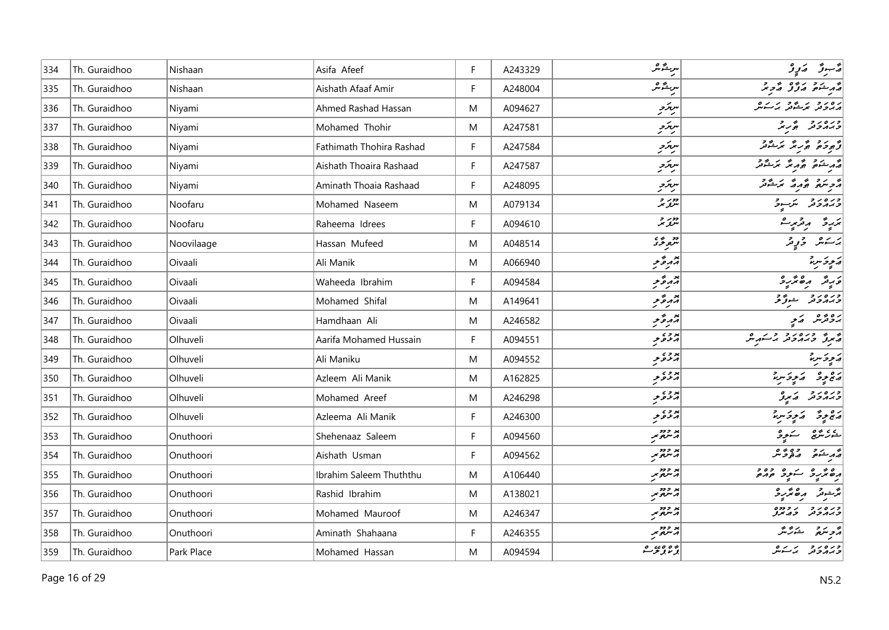| 334 | Th. Guraidhoo | Nishaan    | Asifa Afeef              | F         | A243329 | ﯩﺮﯨﺸﯘﯨﯘ                                      |                                                        |
|-----|---------------|------------|--------------------------|-----------|---------|----------------------------------------------|--------------------------------------------------------|
| 335 | Th. Guraidhoo | Nishaan    | Aishath Afaaf Amir       | F         | A248004 | سرىشەشر                                      | ه سرو آمروه<br>اما سرو آمروه<br>اما سرو آمروه آمری     |
| 336 | Th. Guraidhoo | Niyami     | Ahmed Rashad Hassan      | M         | A094627 | سرپر تر                                      | رەر دىر ئەرەپ كەسكەر                                   |
| 337 | Th. Guraidhoo | Niyami     | Mohamed Thohir           | M         | A247581 | سرپر تر                                      | وره د و ور                                             |
| 338 | Th. Guraidhoo | Niyami     | Fathimath Thohira Rashad | F         | A247584 | سرمر<br>سر                                   | و و د و او بر او او او د                               |
| 339 | Th. Guraidhoo | Niyami     | Aishath Thoaira Rashaad  | F         | A247587 | سريزير                                       | و<br>مەر شىم ئەمەمگە مەشىر                             |
| 340 | Th. Guraidhoo | Niyami     | Aminath Thoaia Rashaad   | F         | A248095 | سرپر تر                                      | הקייטה האוד הייינה                                     |
| 341 | Th. Guraidhoo | Noofaru    | Mohamed Naseem           | M         | A079134 | ددر و<br>سرو سر                              | ورەرو شرىدۇ                                            |
| 342 | Th. Guraidhoo | Noofaru    | Raheema Idrees           | F         | A094610 | دور و<br>سرنۍ سر                             | ىرىدۇ برىزىرگ                                          |
| 343 | Th. Guraidhoo | Noovilaage | Hassan Mufeed            | ${\sf M}$ | A048514 | دو پر پر<br>سر <sub>گو</sub> بر <sub>ک</sub> | ىرىكىش ئۇرىتى                                          |
| 344 | Th. Guraidhoo | Oivaali    | Ali Manik                | M         | A066940 | بر<br>مرمر څرم                               | ە بېرىز سرىد                                           |
| 345 | Th. Guraidhoo | Oivaali    | Waheeda Ibrahim          | F         | A094584 | بىز مەھ<br>مەمرىقىس                          | وَبِيعٌ مِعْمَىٰدٍ                                     |
| 346 | Th. Guraidhoo | Oivaali    | Mohamed Shifal           | M         | A149641 | لمزمرة مر                                    | و ره ر و<br>و ژورونر<br>ے وگر تر                       |
| 347 | Th. Guraidhoo | Oivaali    | Hamdhaan Ali             | M         | A246582 | لتمهر محمر                                   | رە دەر<br>بروترىتر <sub>م</sub> ىر                     |
| 348 | Th. Guraidhoo | Olhuveli   | Aarifa Mohamed Hussain   | F         | A094551 | بروء<br>مرتزعرمر                             | פיני כמתכני הייתית                                     |
| 349 | Th. Guraidhoo | Olhuveli   | Ali Maniku               | ${\sf M}$ | A094552 | بروي<br>در نوگو                              | وكموجسر                                                |
| 350 | Th. Guraidhoo | Olhuveli   | Azleem Ali Manik         | M         | A162825 | لددء                                         |                                                        |
| 351 | Th. Guraidhoo | Olhuveli   | Mohamed Areef            | M         | A246298 | لروء                                         | כנסנכ ה'תור                                            |
| 352 | Th. Guraidhoo | Olhuveli   | Azleema Ali Manik        | F         | A246300 | لروء                                         | ړ ج موځ<br>ە ئەبەيەترىتر                               |
| 353 | Th. Guraidhoo | Onuthoori  | Shehenaaz Saleem         | F         | A094560 | بر و دو.<br>در سره مر                        | ے <sub>ک</sub> ے بھی<br>سەموۋ                          |
| 354 | Th. Guraidhoo | Onuthoori  | Aishath Usman            | F         | A094562 | پر و دو<br>  پر سرچو سر                      | و و پر مر<br>پر <sub>فر</sub> څر سر<br>پە<br>تەربىسىسى |
| 355 | Th. Guraidhoo | Onuthoori  | Ibrahim Saleem Thuththu  | M         | A106440 | أبر دود                                      | مەھەر بەر سىر بول دە د                                 |
| 356 | Th. Guraidhoo | Onuthoori  | Rashid Ibrahim           | ${\sf M}$ | A138021 | بر و دو<br>در سره مر                         | بمرشوش وكالمربو                                        |
| 357 | Th. Guraidhoo | Onuthoori  | Mohamed Mauroof          | M         | A246347 | به ودو<br>در سرچ س                           | ر و دوه<br>تر پر تر<br>و ر ه ر د<br>د بر پر تر         |
| 358 | Th. Guraidhoo | Onuthoori  | Aminath Shahaana         | F         | A246355 | پر دود<br> پر سرچ س                          | شەرىسىگە<br>ر<br>مرگ سرچ                               |
| 359 | Th. Guraidhoo | Park Place | Mohamed Hassan           | M         | A094594 | پ <sup>ر ہ</sup> دی ہے<br>بر بر بر حر        | ورەرو پەسكىر                                           |
|     |               |            |                          |           |         |                                              |                                                        |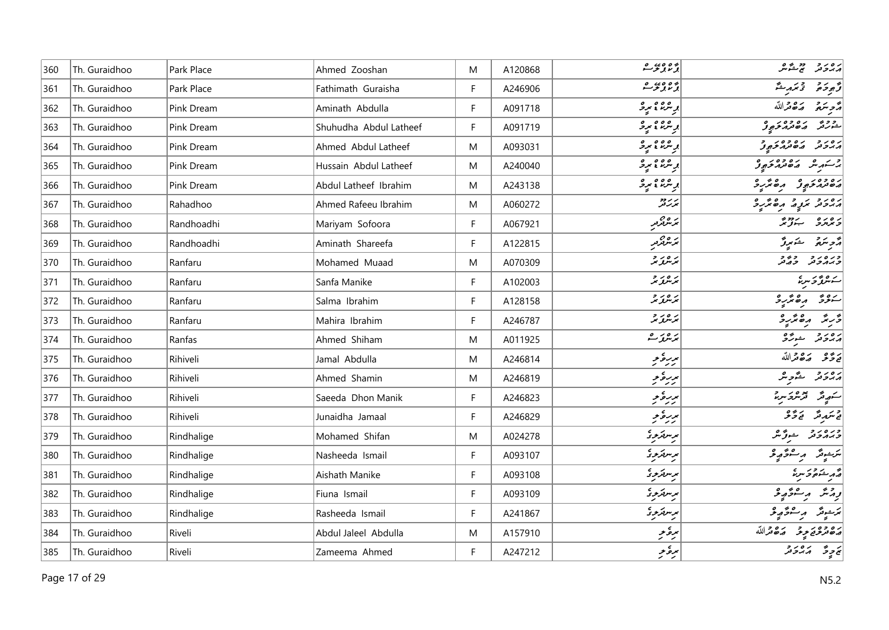| 360 | Th. Guraidhoo | Park Place        | Ahmed Zooshan          | M         | A120868 | ژه وء ع                              | رەرد «ئەر                                         |
|-----|---------------|-------------------|------------------------|-----------|---------|--------------------------------------|---------------------------------------------------|
| 361 | Th. Guraidhoo | Park Place        | Fathimath Guraisha     | F         | A246906 | پ <sup>ر ە</sup> دېمۇ ھ              | أَوْجِعَ حَمْدِ فَيَسْتَدِ                        |
| 362 | Th. Guraidhoo | Pink Dream        | Aminath Abdulla        | F         | A091718 | بر عره ؟ بر د                        | أمحر سترة المتحدة الله                            |
| 363 | Th. Guraidhoo | Pink Dream        | Shuhudha Abdul Latheef | F         | A091719 | و هوه و پره                          | ووو رەدەر ە<br>شەرىر مەھەرمۇم <sub>ۇ</sub> ر      |
| 364 | Th. Guraidhoo | Pink Dream        | Ahmed Abdul Latheef    | M         | A093031 | ب <sub>و</sub> مرړ ۽ <sub>مر</sub> و | ر 2,000 - 2000 و 2<br>גגבע השינג <del>ע</del> ת 2 |
| 365 | Th. Guraidhoo | Pink Dream        | Hussain Abdul Latheef  | M         | A240040 | بو مرړ ۽ مرد<br>پر مريد ۽ مرد        | بر شر می بره ده در و                              |
| 366 | Th. Guraidhoo | <b>Pink Dream</b> | Abdul Latheef Ibrahim  | ${\sf M}$ | A243138 | ار مره و موځ<br>کرسره و موځ          | גם כם גם מיסת ב                                   |
| 367 | Th. Guraidhoo | Rahadhoo          | Ahmed Rafeeu Ibrahim   | M         | A060272 | بر ر دو<br>بور تعر                   | גיבת תנג תפתיב                                    |
| 368 | Th. Guraidhoo | Randhoadhi        | Mariyam Sofoora        | F         | A067921 | برەم                                 | נפנס הדמי.<br>בינוקים היניות                      |
| 369 | Th. Guraidhoo | Randhoadhi        | Aminath Shareefa       | F         | A122815 | برەم                                 | أأترجم التوريح                                    |
| 370 | Th. Guraidhoo | Ranfaru           | Mohamed Muaad          | M         | A070309 | ىر مەر جە                            | כנסנכ כבב<br><i>כג</i> ובב בובק                   |
| 371 | Th. Guraidhoo | Ranfaru           | Sanfa Manike           | F         | A102003 | ىر مەرىجە<br>مەسم <i>ى</i> رىم       | سە ئىرگە ئەسرىئە                                  |
| 372 | Th. Guraidhoo | Ranfaru           | Salma Ibrahim          | F         | A128158 | ىر مەرىجە<br>مەسم <i>ى</i> رىم       | سود رەپرىر                                        |
| 373 | Th. Guraidhoo | Ranfaru           | Mahira Ibrahim         | F         | A246787 | ىر يىر چە                            | وحريحه وه محرجه                                   |
| 374 | Th. Guraidhoo | Ranfas            | Ahmed Shiham           | M         | A011925 | ىر ھ <sub>ى</sub> ز م                | رەرد خەر <i>گ</i>                                 |
| 375 | Th. Guraidhoo | Rihiveli          | Jamal Abdulla          | M         | A246814 | ىررۇپو<br>مەر                        | ترىج مەھىراللە                                    |
| 376 | Th. Guraidhoo | Rihiveli          | Ahmed Shamin           | M         | A246819 | ىررى بو<br>ئرىر قر                   | أرور والمحموش                                     |
| 377 | Th. Guraidhoo | Rihiveli          | Saeeda Dhon Manik      | F         | A246823 | بررء و<br><u>مر</u> ر قر             | سَمرٍ مِنَّ مَنْ مَرْ مِنْ مِنْ                   |
| 378 | Th. Guraidhoo | Rihiveli          | Junaidha Jamaal        | F         | A246829 | بررء<br>مرگو                         | ة ير ي <sup>ر 1</sup> 2 كانتونغو                  |
| 379 | Th. Guraidhoo | Rindhalige        | Mohamed Shifan         | M         | A024278 | برسوتر وكا                           | ورەرو جوگىر                                       |
| 380 | Th. Guraidhoo | Rindhalige        | Nasheeda Ismail        | F         | A093107 | برسوكروكا                            | ىكرىنېدىگە مرىشىمۇچوق                             |
| 381 | Th. Guraidhoo | Rindhalige        | Aishath Manike         | F         | A093108 | برسوتر وكا                           | ا محمد مشخص شرعا<br>المحمد مشخص شرعا              |
| 382 | Th. Guraidhoo | Rindhalige        | Fiuna Ismail           | F         | A093109 | برسرتر وع                            | أرجش وبالحفيظ                                     |
| 383 | Th. Guraidhoo | Rindhalige        | Rasheeda Ismail        | F         | A241867 | ابرسوترو <sup>ي</sup><br>په          | بمشيقر وعقوبة                                     |
| 384 | Th. Guraidhoo | Riveli            | Abdul Jaleel Abdulla   | M         | A157910 | برءمر                                | برە دەپر ئەر ئەھمىراللە                           |
| 385 | Th. Guraidhoo | Riveli            | Zameema Ahmed          | F         | A247212 | ىرەً م                               | مَاحٍ حَمَّ الْمَاسِرَةِ مِنْ                     |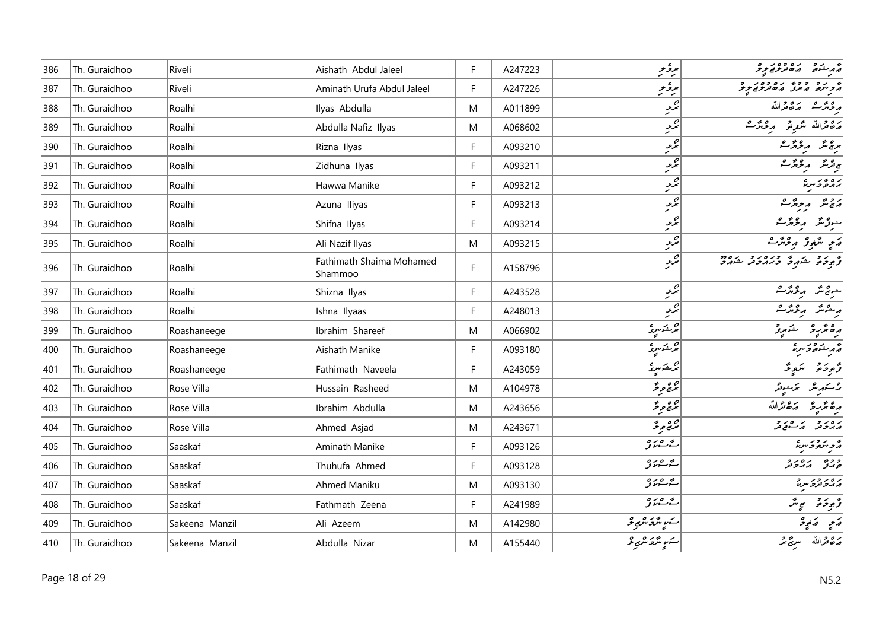| 386 | Th. Guraidhoo | Riveli         | Aishath Abdul Jaleel                | F         | A247223 | برءً و                              | و د شوه ده ده د د و                           |
|-----|---------------|----------------|-------------------------------------|-----------|---------|-------------------------------------|-----------------------------------------------|
| 387 | Th. Guraidhoo | Riveli         | Aminath Urufa Abdul Jaleel          | F         | A247226 | برة و                               | أد برد و دو ره دوه د د                        |
| 388 | Th. Guraidhoo | Roalhi         | Ilyas Abdulla                       | M         | A011899 | اچې<br>سر                           | مرعرمز مكافرالله                              |
| 389 | Th. Guraidhoo | Roalhi         | Abdulla Nafiz Ilyas                 | M         | A068602 | لهجمعر                              | أرە قراللە متروخ مەمەر م                      |
| 390 | Th. Guraidhoo | Roalhi         | Rizna Ilyas                         | F         | A093210 | لعجمز                               | برج بٹر بر قرمز ہے                            |
| 391 | Th. Guraidhoo | Roalhi         | Zidhuna Ilyas                       | F         | A093211 | لعكم                                | يږورنگر پروژگر                                |
| 392 | Th. Guraidhoo | Roalhi         | Hawwa Manike                        | F         | A093212 | اچې<br>س                            | رە بەر بەر<br>بەھ بى سرىئا                    |
| 393 | Th. Guraidhoo | Roalhi         | Azuna Iliyas                        | F         | A093213 | لهجمعر                              | أتميح شر مرمرشة                               |
| 394 | Th. Guraidhoo | Roalhi         | Shifna Ilyas                        | F         | A093214 | لعكم                                | هوره متر مرکز پر                              |
| 395 | Th. Guraidhoo | Roalhi         | Ali Nazif Ilyas                     | M         | A093215 | لعكم                                | أرَمِ مُتَمَوِرْ أَرْحَمَّتْ الْمُسْتَفَ      |
| 396 | Th. Guraidhoo | Roalhi         | Fathimath Shaima Mohamed<br>Shammoo | F         | A158796 | حيمز                                | و د د شهر وره د د ده.<br>ژوپوه شهر وبرمان شهر |
| 397 | Th. Guraidhoo | Roalhi         | Shizna Ilyas                        | F         | A243528 | ە<br>ئىمىس                          | ھوچ مگر پر قرمر ہے۔                           |
| 398 | Th. Guraidhoo | Roalhi         | Ishna Ilyaas                        | F         | A248013 | لقمز                                | م شریگر مرکز گرے                              |
| 399 | Th. Guraidhoo | Roashaneege    | Ibrahim Shareef                     | M         | A066902 | ە ئەيدىكى<br>مەسىمە                 | ەھترىرى شە <i>يرى</i>                         |
| 400 | Th. Guraidhoo | Roashaneege    | Aishath Manike                      | F         | A093180 | ترڪسري<br>ترڪسپريز                  | و مرکز در دیگر<br>در شوه د سره                |
| 401 | Th. Guraidhoo | Roashaneege    | Fathimath Naveela                   | F         | A243059 | ترىشە يېرىكە                        | تزودة سكوتة                                   |
| 402 | Th. Guraidhoo | Rose Villa     | Hussain Rasheed                     | M         | A104978 | ترجم عرقحه                          | رحم المراكز المركبور                          |
| 403 | Th. Guraidhoo | Rose Villa     | Ibrahim Abdulla                     | M         | A243656 | ترج حرقحه                           | مەھەمگە ئەھەمراللە                            |
| 404 | Th. Guraidhoo | Rose Villa     | Ahmed Asjad                         | M         | A243671 | ج چ <sub>حر</sub> مَّةَ             | ره رو بر صدو<br>پرېرونس پر سونے تر            |
| 405 | Th. Guraidhoo | Saaskaf        | Aminath Manike                      | F         | A093126 | شەمبەر                              | أأرمز سكوح سربنا                              |
| 406 | Th. Guraidhoo | Saaskaf        | Thuhufa Ahmed                       | F         | A093128 | شەمەر بو                            | ووه ده دور                                    |
| 407 | Th. Guraidhoo | Saaskaf        | Ahmed Maniku                        | M         | A093130 | سە يەر بۇ                           | ر ەر در ر                                     |
| 408 | Th. Guraidhoo | Saaskaf        | Fathmath Zeena                      | F         | A241989 | شەمبەر                              | قەدرە بېش                                     |
| 409 | Th. Guraidhoo | Sakeena Manzil | Ali Azeem                           | M         | A142980 | سەر ئىرى ئىرى ئى                    | أتكتم أتكفي                                   |
| 410 | Th. Guraidhoo | Sakeena Manzil | Abdulla Nizar                       | ${\sf M}$ | A155440 | ىسە بەش <i>ۇ</i> ش <sub>ىب</sub> بۇ | رَة قرالله سريح تر                            |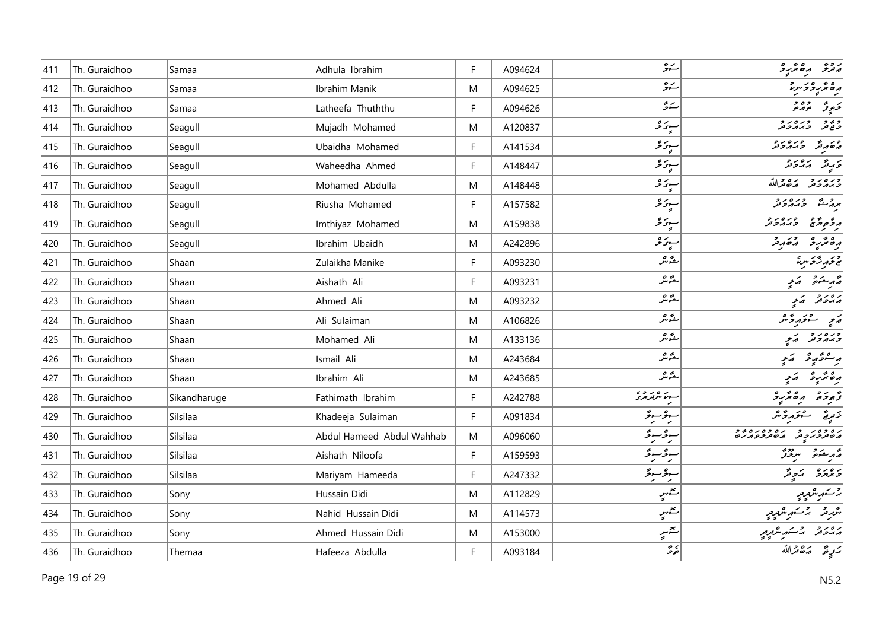| 411 | Th. Guraidhoo | Samaa        | Adhula Ibrahim            | F           | A094624 | سەنچ                     | أروفز أرە ئەرو                                                                        |
|-----|---------------|--------------|---------------------------|-------------|---------|--------------------------|---------------------------------------------------------------------------------------|
| 412 | Th. Guraidhoo | Samaa        | Ibrahim Manik             | M           | A094625 | ستریخ                    | ם היו פי ייניים<br>הם היו באייניים                                                    |
| 413 | Th. Guraidhoo | Samaa        | Latheefa Thuththu         | F           | A094626 | سەنچ                     | ىز ي <sub>ە</sub> رتى<br>ئىستىم<br>و ه و<br>حوار حو                                   |
| 414 | Th. Guraidhoo | Seagull      | Mujadh Mohamed            | M           | A120837 | سەئەقر                   | و رە ر د<br>تر پروتر<br>و بر و<br>تر قع فر                                            |
| 415 | Th. Guraidhoo | Seagull      | Ubaidha Mohamed           | F           | A141534 | سەبى                     | و ره ر د<br><i>د ټ</i> رو تر<br>ە ئەھرىتر                                             |
| 416 | Th. Guraidhoo | Seagull      | Waheedha Ahmed            | F           | A148447 | سەنچە بىر                | أورش ورورو                                                                            |
| 417 | Th. Guraidhoo | Seagull      | Mohamed Abdulla           | M           | A148448 | سەنەىۋ                   | وره رو ده دالله                                                                       |
| 418 | Th. Guraidhoo | Seagull      | Riusha Mohamed            | F           | A157582 | سەئەقر                   | و ره ر و<br>تر <i>پر</i> وتر<br>بررحمش                                                |
| 419 | Th. Guraidhoo | Seagull      | Imthiyaz Mohamed          | M           | A159838 | سەبى                     | و ر ه ر د<br>تر پر پر تر<br>קלקית<br>קלקית                                            |
| 420 | Th. Guraidhoo | Seagull      | Ibrahim Ubaidh            | ${\sf M}$   | A242896 | سەئەقر                   | دە ئېرىۋ<br>مەمەتر                                                                    |
| 421 | Th. Guraidhoo | Shaan        | Zulaikha Manike           | F           | A093230 | ىشەشر                    | ە ئەرگە ئەسرىئا<br>ئ                                                                  |
| 422 | Th. Guraidhoo | Shaan        | Aishath Ali               | F           | A093231 | ىشەشر                    | پ <sup>و</sup> پر شوی <sub>ن</sub><br>در<br>ەتە                                       |
| 423 | Th. Guraidhoo | Shaan        | Ahmed Ali                 | M           | A093232 | ىشەشر                    | رەرد كې                                                                               |
| 424 | Th. Guraidhoo | Shaan        | Ali Sulaiman              | ${\sf M}$   | A106826 | شەھر                     | ړې د عرکار                                                                            |
| 425 | Th. Guraidhoo | Shaan        | Mohamed Ali               | M           | A133136 | ىشەشر                    | ورەر د كړې                                                                            |
| 426 | Th. Guraidhoo | Shaan        | Ismail Ali                | M           | A243684 | ىشەشر                    | برحوثي فيي                                                                            |
| 427 | Th. Guraidhoo | Shaan        | Ibrahim Ali               | M           | A243685 | ىشەشر                    |                                                                                       |
| 428 | Th. Guraidhoo | Sikandharuge | Fathimath Ibrahim         | F           | A242788 | سەر ھەر ج<br>سەر ئىرتىرى |                                                                                       |
| 429 | Th. Guraidhoo | Silsilaa     | Khadeeja Sulaiman         | F           | A091834 | سەۋسەد<br>بە             | ائزمدیج<br>استع<br>شۇمە <i>ۋ</i> ىر                                                   |
| 430 | Th. Guraidhoo | Silsilaa     | Abdul Hameed Abdul Wahhab | M           | A096060 | سەۋسەۋ                   | נס כסנג בני נס כסנס ביביב<br>הסתיכת בני הסתיכת נס                                     |
| 431 | Th. Guraidhoo | Silsilaa     | Aishath Niloofa           | $\mathsf F$ | A159593 | سوۋىيەۋ                  | أمار شاه المردون                                                                      |
| 432 | Th. Guraidhoo | Silsilaa     | Mariyam Hameeda           | F           | A247332 | سوۋىسوۋ                  | دەرو ئېچىد                                                                            |
| 433 | Th. Guraidhoo | Sony         | Hussain Didi              | M           | A112829 | تخمسر                    | پر کے مر سر مرمد<br>مسلم کے مقام                                                      |
| 434 | Th. Guraidhoo | Sony         | Nahid Hussain Didi        | M           | A114573 | يخمسر<br>پخ              | شرىرقى ئەسكىرىش ھەر<br>سىرىر ئەسكىرىسى                                                |
| 435 | Th. Guraidhoo | Sony         | Ahmed Hussain Didi        | M           | A153000 | تخمسر                    | ر در در برگتر مرکز در در برابر در ایران<br>امریز در در برگتری برابر در سویلی در ایران |
| 436 | Th. Guraidhoo | Themaa       | Hafeeza Abdulla           | F           | A093184 | ء ج                      | بتعريج سكاه تدالله                                                                    |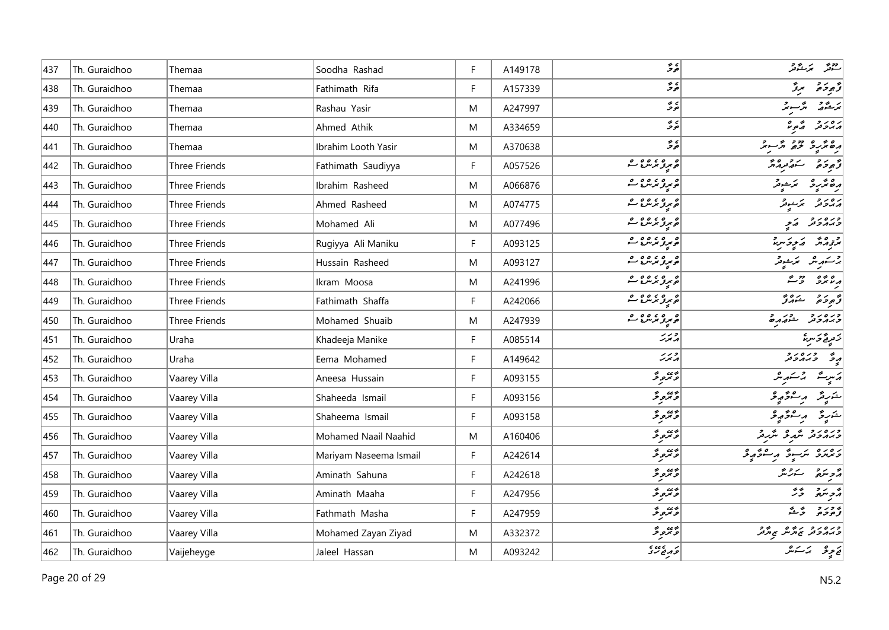| 437 | Th. Guraidhoo | Themaa               | Soodha Rashad          | F         | A149178 | ج ج<br>حوتر                          | ردوی پر میگرد                                               |
|-----|---------------|----------------------|------------------------|-----------|---------|--------------------------------------|-------------------------------------------------------------|
| 438 | Th. Guraidhoo | Themaa               | Fathimath Rifa         | F         | A157339 | ج حج                                 | ا تو جر جر<br>ا<br>ىرتى                                     |
| 439 | Th. Guraidhoo | Themaa               | Rashau Yasir           | ${\sf M}$ | A247997 | ج ح<br>حو                            | بريشى<br>ەگەسىزىمە                                          |
| 440 | Th. Guraidhoo | Themaa               | Ahmed Athik            | M         | A334659 | ج ح<br>حو                            | بر 2 پر ج<br>مربر <del>گر</del>                             |
| 441 | Th. Guraidhoo | Themaa               | Ibrahim Looth Yasir    | M         | A370638 | ج ح<br>حو                            |                                                             |
| 442 | Th. Guraidhoo | <b>Three Friends</b> | Fathimath Saudiyya     | F         | A057526 | ە موزىر مىدە مەت<br>مۇسرىر مىرىن ئ   | و دو دوره و                                                 |
| 443 | Th. Guraidhoo | <b>Three Friends</b> | Ibrahim Rasheed        | M         | A066876 | ە بېرو ئرىدى م                       | رەپرى <sub>ر</sub> و بر <sub>ىشونر</sub>                    |
| 444 | Th. Guraidhoo | <b>Three Friends</b> | Ahmed Rasheed          | ${\sf M}$ | A074775 | ە بەر بەرە ب                         | رەرە بەيدىر                                                 |
| 445 | Th. Guraidhoo | <b>Three Friends</b> | Mohamed Ali            | ${\sf M}$ | A077496 | ە يور ئەرە مەت<br>جۇ ئېرتىر ئىرىدى   | وره دو کړې                                                  |
| 446 | Th. Guraidhoo | <b>Three Friends</b> | Rugiyya Ali Maniku     | F         | A093125 | مۇ بېرىر ئىرى مە                     | برواده كالموكاسة                                            |
| 447 | Th. Guraidhoo | <b>Three Friends</b> | Hussain Rasheed        | M         | A093127 | مۇيرو ئەرە مەت<br>  مۇيرو ئىرمىن سىر | برسكهر مركبوتر                                              |
| 448 | Th. Guraidhoo | <b>Three Friends</b> | Ikram Moosa            | M         | A241996 | اھ برو برمومي م                      | ەر ئەم<br>دو مشر                                            |
| 449 | Th. Guraidhoo | <b>Three Friends</b> | Fathimath Shaffa       | F         | A242066 | ە يورو يورو ق                        | أوُّبُوحَ مَنْ شَهْرُوُّ                                    |
| 450 | Th. Guraidhoo | <b>Three Friends</b> | Mohamed Shuaib         | ${\sf M}$ | A247939 | ە بىرو بىرە بىر <u>ق</u>             | כנסנפ בנגב<br><i>כג</i> וכנג בנג <i>ם</i>                   |
| 451 | Th. Guraidhoo | Uraha                | Khadeeja Manike        | F         | A085514 | ەرىر                                 | ئەمرىقى ئەسرىئا<br>                                         |
| 452 | Th. Guraidhoo | Uraha                | Eema Mohamed           | F         | A149642 | ەرىر                                 |                                                             |
| 453 | Th. Guraidhoo | Vaarey Villa         | Aneesa Hussain         | F         | A093155 | ە ،،<br>قەنىرە بەقتى                 | أرسرت برستمرش                                               |
| 454 | Th. Guraidhoo | Vaarey Villa         | Shaheeda Ismail        | F         | A093156 | ديم و ځه                             | خربة رعوً يو                                                |
| 455 | Th. Guraidhoo | Vaarey Villa         | Shaheema Ismail        | F         | A093158 | ەسىم بۇ ئىچە<br>مۇسمىر مۇ            | برىشۇپەيۋ<br>شەرىچ                                          |
| 456 | Th. Guraidhoo | Vaarey Villa         | Mohamed Naail Naahid   | M         | A160406 | و بر<br>  عرمو محر                   | ورەرو شرو شرقه                                              |
| 457 | Th. Guraidhoo | Vaarey Villa         | Mariyam Naseema Ismail | F         | A242614 | پيمبر پخه                            | دەرە شەرە مەشتۇرچ                                           |
| 458 | Th. Guraidhoo | Vaarey Villa         | Aminath Sahuna         | F         | A242618 | ۇتئەرگ                               | أأروبتهم سنرتش                                              |
| 459 | Th. Guraidhoo | Vaarey Villa         | Aminath Maaha          | F         | A247956 | په پره<br>  عربه عرب                 | $rac{25}{25}$ $rac{2}{5}$                                   |
| 460 | Th. Guraidhoo | Vaarey Villa         | Fathmath Masha         | F         | A247959 | و بر<br>  عربر عر                    | ودرد وي                                                     |
| 461 | Th. Guraidhoo | Vaarey Villa         | Mohamed Zayan Ziyad    | M         | A332372 | لۇ <sup>ي</sup> ھوقە                 | כנסגב גם שתית<br><mark>כממכת האתי</mark> ת ה <sub>מ</sub> ת |
| 462 | Th. Guraidhoo | Vaijeheyge           | Jaleel Hassan          | ${\sf M}$ | A093242 | ر<br>  تو در ج ر <sub>ک</sub>        | ق پر قر بر تر تر تر تر تر تر تر                             |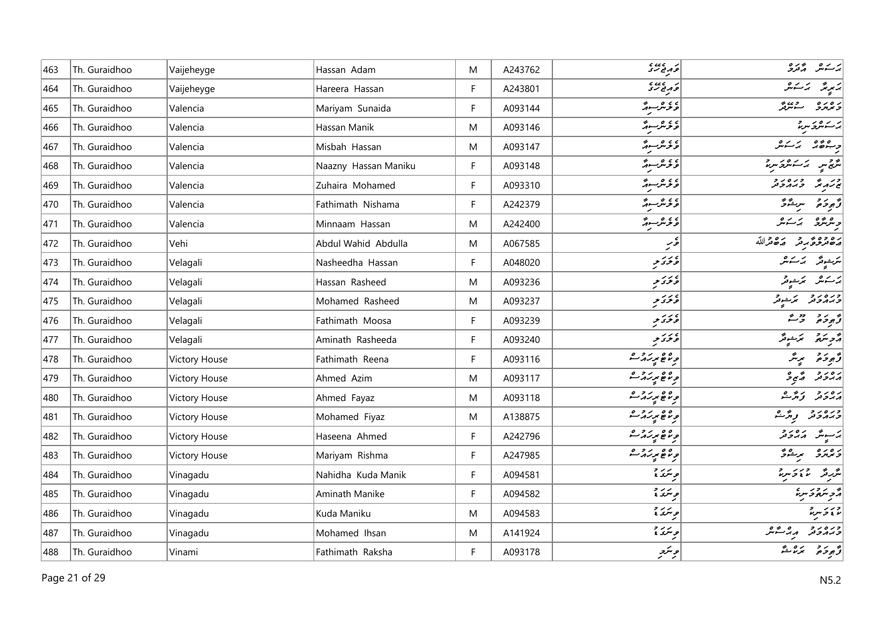| 463 | Th. Guraidhoo | Vaijeheyge           | Hassan Adam          | M         | A243762 | ر<br>ح د مع ر د                    | يرك مد مجمده                                        |
|-----|---------------|----------------------|----------------------|-----------|---------|------------------------------------|-----------------------------------------------------|
| 464 | Th. Guraidhoo | Vaijeheyge           | Hareera Hassan       | F         | A243801 | ر مەن ئە<br>ھەر قى سى              | زىرىژ    زىستەند                                    |
| 465 | Th. Guraidhoo | Valencia             | Mariyam Sunaida      | F         | A093144 | ې د ه په په                        | ر ه ر ه<br><del>د</del> بربرگر<br>2 دەپرى<br>سىرتىر |
| 466 | Th. Guraidhoo | Valencia             | Hassan Manik         | M         | A093146 | ، ، ، رو<br>د نور سروگر            | ر<br>بر کے مرکز سربر                                |
| 467 | Th. Guraidhoo | Valencia             | Misbah Hassan        | M         | A093147 | <sup>ج ج</sup> چرمبردگر            | وجمصى كالمكامل                                      |
| 468 | Th. Guraidhoo | Valencia             | Naazny Hassan Maniku | F         | A093148 | <sup>ج ج</sup> و بڑر ہے۔<br>حرف شر | لترجم الرائم وكالمراريخ للربائح                     |
| 469 | Th. Guraidhoo | Valencia             | Zuhaira Mohamed      | F         | A093310 | ، ، ه ریدگر                        | وزر وزه دو                                          |
| 470 | Th. Guraidhoo | Valencia             | Fathimath Nishama    | F         | A242379 | ە ئەھرىسى <i>دۇ</i>                | ترجوحكم المراشوم                                    |
| 471 | Th. Guraidhoo | Valencia             | Minnaam Hassan       | ${\sf M}$ | A242400 | ې د پرسرچ<br>مرغوب مرگ             | د مرمرد<br>پر سەيىر                                 |
| 472 | Th. Guraidhoo | Vehi                 | Abdul Wahid Abdulla  | M         | A067585 | غرسه                               | رەدە برىر رەمزاللە                                  |
| 473 | Th. Guraidhoo | Velagali             | Nasheedha Hassan     | F         | A048020 | ء رکار<br>حافزی م                  | لترسيق الكاشكر                                      |
| 474 | Th. Guraidhoo | Velagali             | Hassan Rasheed       | M         | A093236 | أة زر                              | يُرْسَمْشْ الْمَرْسُومْر                            |
| 475 | Th. Guraidhoo | Velagali             | Mohamed Rasheed      | M         | A093237 | ءَرَرِ                             | ورەرو كەنبەتى                                       |
| 476 | Th. Guraidhoo | Velagali             | Fathimath Moosa      | F         | A093239 | ء ئر ئر                            | وٌ پر دو در مع                                      |
| 477 | Th. Guraidhoo | Velagali             | Aminath Rasheeda     | F         | A093240 | <sup>ی</sup> ترتر تر               | أأترسكم أأترشوش                                     |
| 478 | Th. Guraidhoo | <b>Victory House</b> | Fathimath Reena      | F         | A093116 | ە ئەھمە <i>رىدى</i><br>س           | قەم ئەستىر                                          |
| 479 | Th. Guraidhoo | Victory House        | Ahmed Azim           | ${\sf M}$ | A093117 | ە ئەھ بىر <i>ئە</i> ر م            | بر ه بر د<br>م.پر <del>ت</del> ر تنر<br>وحجي فز     |
| 480 | Th. Guraidhoo | <b>Victory House</b> | Ahmed Fayaz          | M         | A093118 | ە ۋە ھ <sub>ى</sub> رىر ئە         | رەرد رېژے                                           |
| 481 | Th. Guraidhoo | <b>Victory House</b> | Mohamed Fiyaz        | M         | A138875 | ە مەھ بىر <i>ئەدى</i><br>ب         | ور ەر د<br><i>د بە</i> ر تەر<br>ىر بۇ شە            |
| 482 | Th. Guraidhoo | <b>Victory House</b> | Haseena Ahmed        | F         | A242796 | ە مەھ بېرىر ئە <sup>م</sup>        | ەر دىر<br>ئەسەپىتىر<br>ئ                            |
| 483 | Th. Guraidhoo | Victory House        | Mariyam Rishma       | F         | A247985 | ە قەبىر ئە <u>رى</u>               | رەرە برىشۇ                                          |
| 484 | Th. Guraidhoo | Vinagadu             | Nahidha Kuda Manik   | F         | A094581 | ە ئىرىم ?                          | ىتزىر قىر<br>ر در در                                |
| 485 | Th. Guraidhoo | Vinagadu             | Aminath Manike       | F         | A094582 | ء يتركه ?                          | و من دون<br>م                                       |
| 486 | Th. Guraidhoo | Vinagadu             | Kuda Maniku          | ${\sf M}$ | A094583 | ءِ سَرَ ڏُ                         | ر در در                                             |
| 487 | Th. Guraidhoo | Vinagadu             | Mohamed Ihsan        | M         | A141924 | وبئرند؟                            | و ره ر و<br><i>و پر</i> پر تر<br>ەرشەشىر            |
| 488 | Th. Guraidhoo | Vinami               | Fathimath Raksha     | F         | A093178 | حريئرجر                            | أقرم وحرمته والمستقر                                |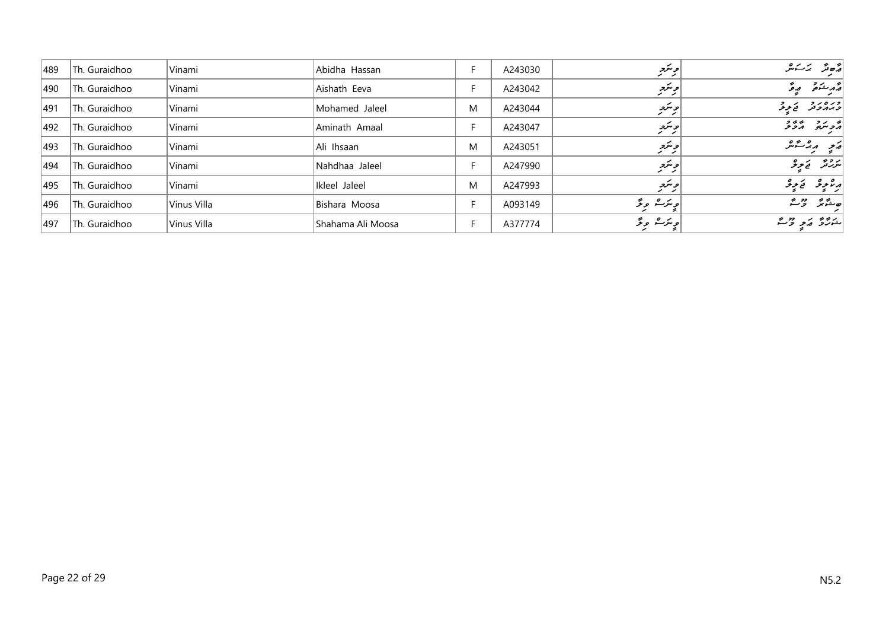| 489 | Th. Guraidhoo | Vinami      | Abidha Hassan     |   | A243030 | و سرچ<br>- -  | لەھ ئەسكىش          |
|-----|---------------|-------------|-------------------|---|---------|---------------|---------------------|
| 490 | Th. Guraidhoo | Vinami      | Aishath Eeva      |   | A243042 | و سرچ<br>- -  | أقرم شوقر أمرقر     |
| 491 | Th. Guraidhoo | Vinami      | Mohamed Jaleel    | M | A243044 | ح سوچر<br>- - | ورەرو كەبەتى        |
| 492 | Th. Guraidhoo | Vinami      | Aminath Amaal     |   | A243047 | احر متزحر     | أثر مرد من والمحر   |
| 493 | Th. Guraidhoo | Vinami      | Ali Ihsaan        | M | A243051 | و سرچ<br>- -  | أمزم مرششتر         |
| 494 | Th. Guraidhoo | Vinami      | Nahdhaa Jaleel    |   | A247990 | ومترو<br>- -  | پرژنگ تج یونژ       |
| 495 | Th. Guraidhoo | Vinami      | Ikleel Jaleel     | M | A247993 | ح سوچر        | پراءیوی تے یوی      |
| 496 | Th. Guraidhoo | Vinus Villa | Bishara Moosa     |   | A093149 | ءِ سَرَتْہ وڱ | ھڪر رحم             |
| 497 | Th. Guraidhoo | Vinus Villa | Shahama Ali Moosa |   | A377774 | ءِ سَرَتْہ وڱ | شروع الالمع المحاشر |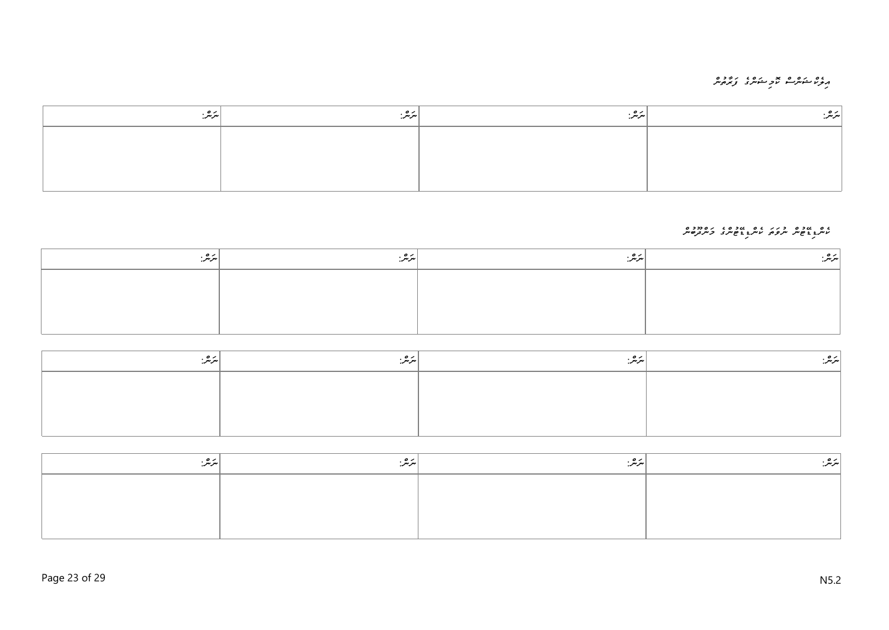## *w7qAn8m? sCw7mRo>u; wEw7mRw;sBo<*

| ' مرمر | 'يئرىثر: |
|--------|----------|
|        |          |
|        |          |
|        |          |

## *w7q9r@w7m> sCw7qHtFoFw7s; mAm=q7 w7qHtFoFw7s;*

| ىر تە | $\mathcal{O} \times$<br>$\sim$ | $\sim$<br>. . | لترنثر |
|-------|--------------------------------|---------------|--------|
|       |                                |               |        |
|       |                                |               |        |
|       |                                |               |        |

| $\frac{\partial}{\partial x}$ | $^{\circ}$ | $\frac{2}{n}$ | $^{\circ}$<br>سرسر. |
|-------------------------------|------------|---------------|---------------------|
|                               |            |               |                     |
|                               |            |               |                     |
|                               |            |               |                     |

| ' ئىرتىر: | سر سر |  |
|-----------|-------|--|
|           |       |  |
|           |       |  |
|           |       |  |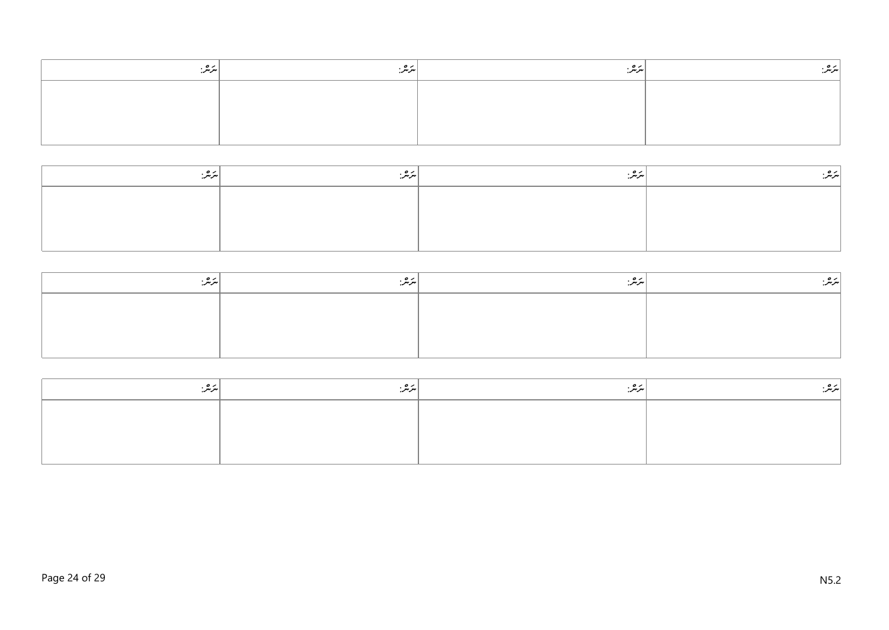| يزهر | $^{\circ}$ | ىئرىتر: |  |
|------|------------|---------|--|
|      |            |         |  |
|      |            |         |  |
|      |            |         |  |

| <sup>.</sup> سرسر. |  |
|--------------------|--|
|                    |  |
|                    |  |
|                    |  |

| ىئرىتر. | $\sim$ | ا بر هه. | لىرىش |
|---------|--------|----------|-------|
|         |        |          |       |
|         |        |          |       |
|         |        |          |       |

| 。<br>مرس. | $\overline{\phantom{a}}$<br>مر مىر | يتريثر |
|-----------|------------------------------------|--------|
|           |                                    |        |
|           |                                    |        |
|           |                                    |        |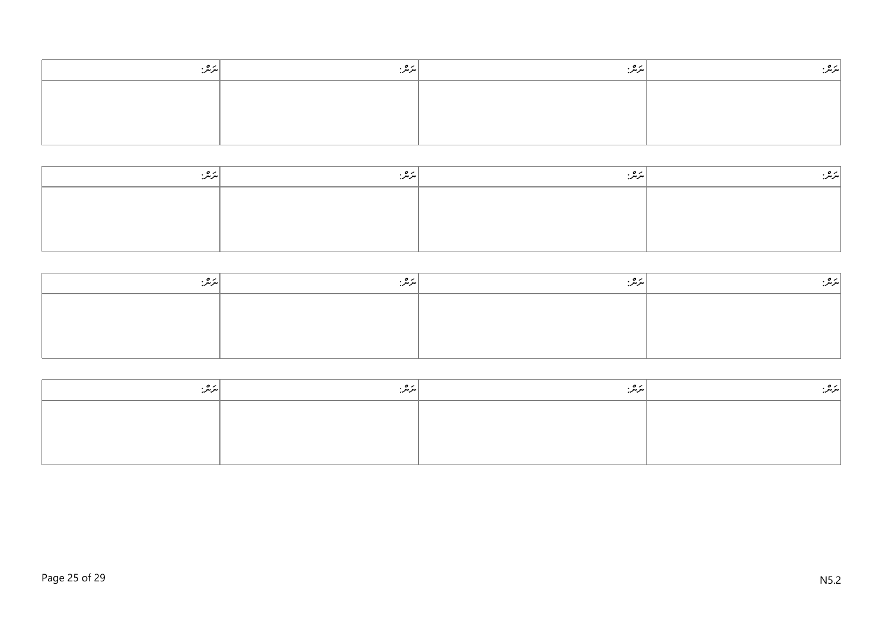| ير هو . | $\overline{\phantom{a}}$ | يرمر | اير هنه. |
|---------|--------------------------|------|----------|
|         |                          |      |          |
|         |                          |      |          |
|         |                          |      |          |

| ىبرىر. | $\sim$<br>ا سرسر . | يئرمثر | o . |
|--------|--------------------|--------|-----|
|        |                    |        |     |
|        |                    |        |     |
|        |                    |        |     |

| الترنثر: | ' مرتكز: | الترنثر: | .,<br>سرسر. |
|----------|----------|----------|-------------|
|          |          |          |             |
|          |          |          |             |
|          |          |          |             |

|  | . ه |
|--|-----|
|  |     |
|  |     |
|  |     |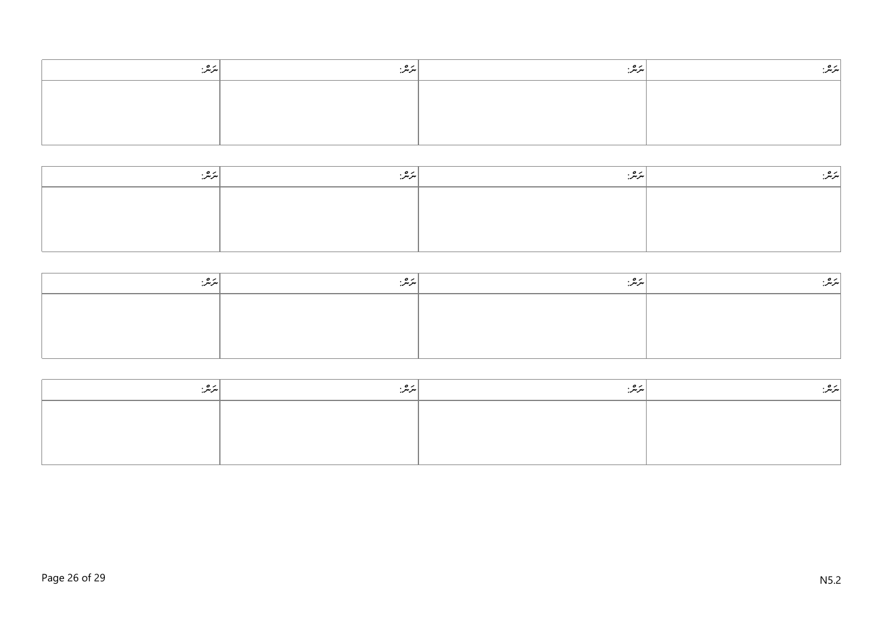| ير هو . | $\overline{\phantom{a}}$ | يرمر | اير هنه. |
|---------|--------------------------|------|----------|
|         |                          |      |          |
|         |                          |      |          |
|         |                          |      |          |

| ىر تىر: | $\circ$ $\sim$<br>" سرسر . | يترمير | o . |
|---------|----------------------------|--------|-----|
|         |                            |        |     |
|         |                            |        |     |
|         |                            |        |     |

| الترنثر: | ' مرتكز: | الترنثر: | .,<br>سرسر. |
|----------|----------|----------|-------------|
|          |          |          |             |
|          |          |          |             |
|          |          |          |             |

|  | . ه |
|--|-----|
|  |     |
|  |     |
|  |     |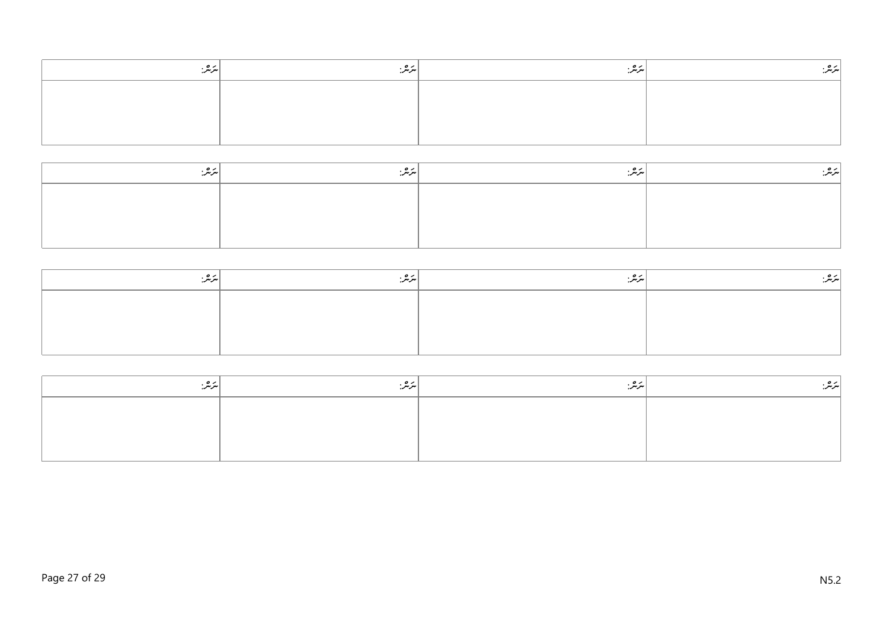| $\cdot$ | ο. | $\frac{\circ}{\cdot}$ | $\sim$<br>سرسر |
|---------|----|-----------------------|----------------|
|         |    |                       |                |
|         |    |                       |                |
|         |    |                       |                |

| ايرعر: | ر ه<br>. . |  |
|--------|------------|--|
|        |            |  |
|        |            |  |
|        |            |  |

| بر ه | 。 | $\overline{\phantom{0}}$<br>َ سومس. |  |
|------|---|-------------------------------------|--|
|      |   |                                     |  |
|      |   |                                     |  |
|      |   |                                     |  |

| 。<br>. س | ىرىىر |  |
|----------|-------|--|
|          |       |  |
|          |       |  |
|          |       |  |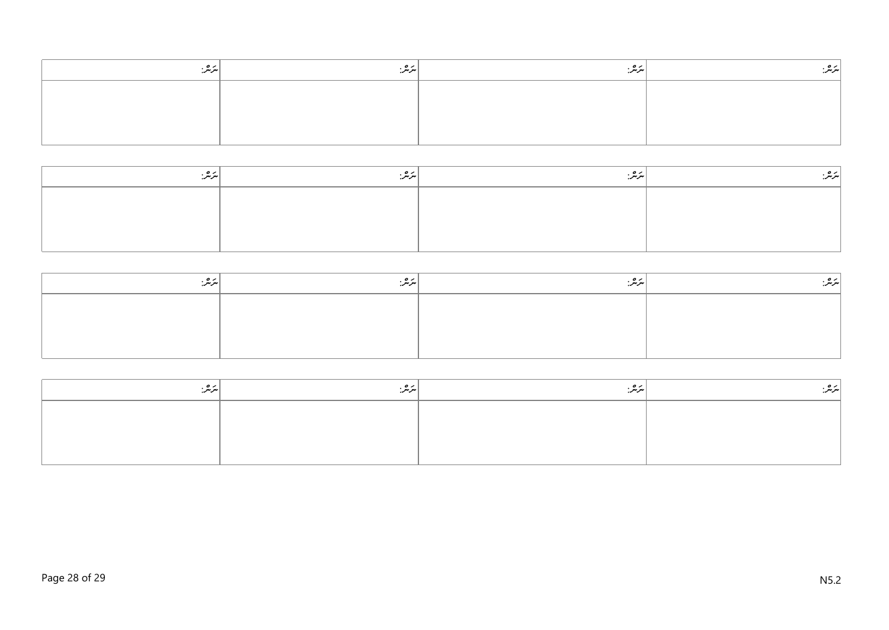| ير هو . | $\overline{\phantom{a}}$ | يرمر | لتزمثن |
|---------|--------------------------|------|--------|
|         |                          |      |        |
|         |                          |      |        |
|         |                          |      |        |

| ىبرىر. | $\sim$<br>ا سرسر . | يئرمثر | o . |
|--------|--------------------|--------|-----|
|        |                    |        |     |
|        |                    |        |     |
|        |                    |        |     |

| انترنثر: | ر ه |  |
|----------|-----|--|
|          |     |  |
|          |     |  |
|          |     |  |

|  | . ه |
|--|-----|
|  |     |
|  |     |
|  |     |